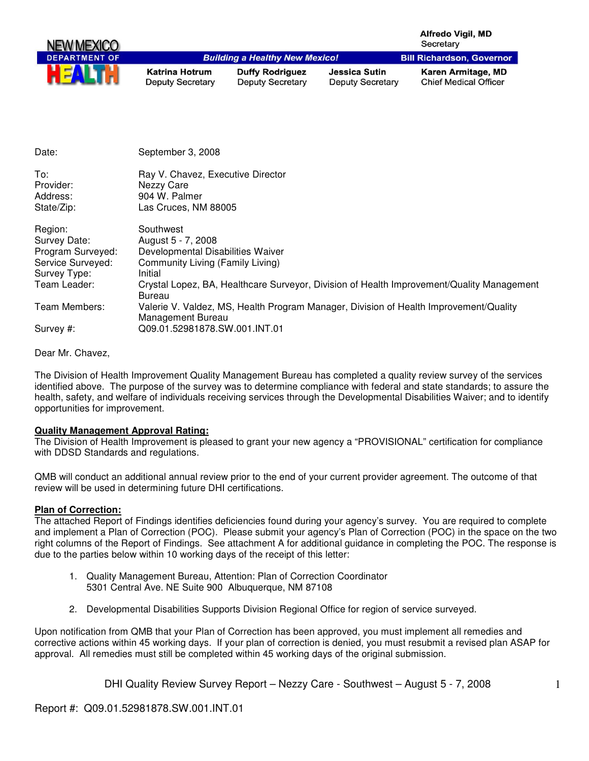| NEW MEXICO                                 |                                                                                          |                                                   |                                                 | <b>Alfredo Vigil, MD</b><br>Secretary              |
|--------------------------------------------|------------------------------------------------------------------------------------------|---------------------------------------------------|-------------------------------------------------|----------------------------------------------------|
| <b>DEPARTMENT OF</b>                       |                                                                                          | <b>Building a Healthy New Mexico!</b>             |                                                 | <b>Bill Richardson, Governor</b>                   |
|                                            | Katrina Hotrum<br><b>Deputy Secretary</b>                                                | <b>Duffy Rodriguez</b><br><b>Deputy Secretary</b> | <b>Jessica Sutin</b><br><b>Deputy Secretary</b> | Karen Armitage, MD<br><b>Chief Medical Officer</b> |
| Date:                                      | September 3, 2008                                                                        |                                                   |                                                 |                                                    |
| To:<br>Provider:<br>Address:<br>State/Zip: | Ray V. Chavez, Executive Director<br>Nezzy Care<br>904 W. Palmer<br>Las Cruces. NM 88005 |                                                   |                                                 |                                                    |

| Region:           | Southwest                                                                                                  |
|-------------------|------------------------------------------------------------------------------------------------------------|
| Survey Date:      | August 5 - 7, 2008                                                                                         |
| Program Surveyed: | Developmental Disabilities Waiver                                                                          |
| Service Surveyed: | Community Living (Family Living)                                                                           |
| Survey Type:      | Initial                                                                                                    |
| Team Leader:      | Crystal Lopez, BA, Healthcare Surveyor, Division of Health Improvement/Quality Management<br>Bureau        |
| Team Members:     | Valerie V. Valdez, MS, Health Program Manager, Division of Health Improvement/Quality<br>Management Bureau |
| Survey #:         | Q09.01.52981878.SW.001.INT.01                                                                              |

Dear Mr. Chavez,

The Division of Health Improvement Quality Management Bureau has completed a quality review survey of the services identified above. The purpose of the survey was to determine compliance with federal and state standards; to assure the health, safety, and welfare of individuals receiving services through the Developmental Disabilities Waiver; and to identify opportunities for improvement.

### **Quality Management Approval Rating:**

The Division of Health Improvement is pleased to grant your new agency a "PROVISIONAL" certification for compliance with DDSD Standards and regulations.

QMB will conduct an additional annual review prior to the end of your current provider agreement. The outcome of that review will be used in determining future DHI certifications.

#### **Plan of Correction:**

The attached Report of Findings identifies deficiencies found during your agency's survey. You are required to complete and implement a Plan of Correction (POC). Please submit your agency's Plan of Correction (POC) in the space on the two right columns of the Report of Findings. See attachment A for additional guidance in completing the POC. The response is due to the parties below within 10 working days of the receipt of this letter:

- 1. Quality Management Bureau, Attention: Plan of Correction Coordinator 5301 Central Ave. NE Suite 900 Albuquerque, NM 87108
- 2. Developmental Disabilities Supports Division Regional Office for region of service surveyed.

Upon notification from QMB that your Plan of Correction has been approved, you must implement all remedies and corrective actions within 45 working days. If your plan of correction is denied, you must resubmit a revised plan ASAP for approval. All remedies must still be completed within 45 working days of the original submission.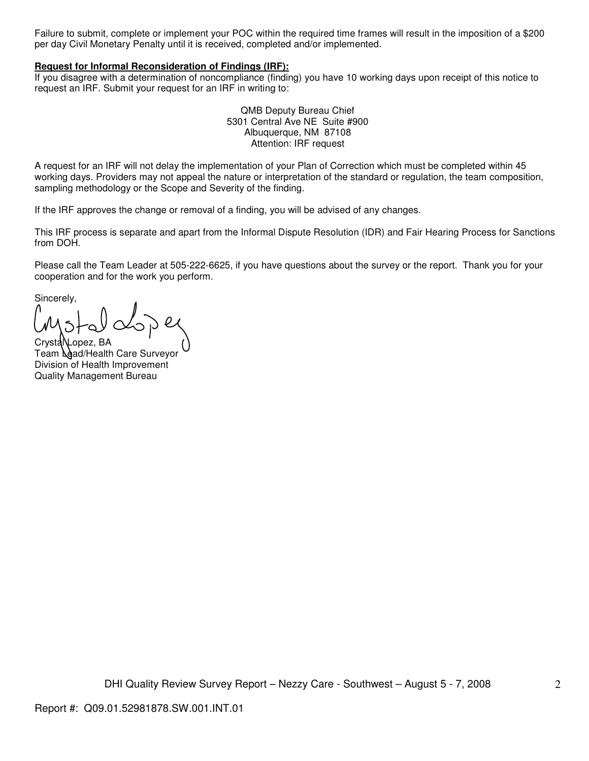Failure to submit, complete or implement your POC within the required time frames will result in the imposition of a \$200 per day Civil Monetary Penalty until it is received, completed and/or implemented.

#### **Request for Informal Reconsideration of Findings (IRF):**

If you disagree with a determination of noncompliance (finding) you have 10 working days upon receipt of this notice to request an IRF. Submit your request for an IRF in writing to:

> QMB Deputy Bureau Chief 5301 Central Ave NE Suite #900 Albuquerque, NM 87108 Attention: IRF request

A request for an IRF will not delay the implementation of your Plan of Correction which must be completed within 45 working days. Providers may not appeal the nature or interpretation of the standard or regulation, the team composition, sampling methodology or the Scope and Severity of the finding.

If the IRF approves the change or removal of a finding, you will be advised of any changes.

This IRF process is separate and apart from the Informal Dispute Resolution (IDR) and Fair Hearing Process for Sanctions from DOH.

Please call the Team Leader at 505-222-6625, if you have questions about the survey or the report. Thank you for your cooperation and for the work you perform.

Sincerely,

CrystaNLopez, BA Team *Aad/Health Care Surveyor* Division of Health Improvement Quality Management Bureau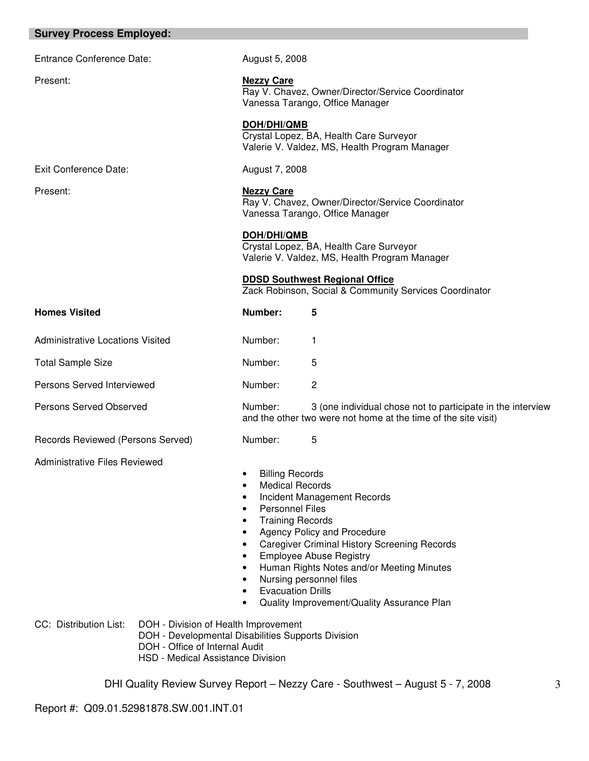| <b>Survey Process Employed:</b>         |                                                                                                                                                                   |                                                                                                                                                                              |                                                                                                                                                                                                                                                                           |
|-----------------------------------------|-------------------------------------------------------------------------------------------------------------------------------------------------------------------|------------------------------------------------------------------------------------------------------------------------------------------------------------------------------|---------------------------------------------------------------------------------------------------------------------------------------------------------------------------------------------------------------------------------------------------------------------------|
| <b>Entrance Conference Date:</b>        |                                                                                                                                                                   | August 5, 2008                                                                                                                                                               |                                                                                                                                                                                                                                                                           |
| Present:                                |                                                                                                                                                                   | <b>Nezzy Care</b>                                                                                                                                                            | Ray V. Chavez, Owner/Director/Service Coordinator<br>Vanessa Tarango, Office Manager                                                                                                                                                                                      |
|                                         |                                                                                                                                                                   | DOH/DHI/QMB                                                                                                                                                                  | Crystal Lopez, BA, Health Care Surveyor<br>Valerie V. Valdez, MS, Health Program Manager                                                                                                                                                                                  |
| <b>Exit Conference Date:</b>            |                                                                                                                                                                   | August 7, 2008                                                                                                                                                               |                                                                                                                                                                                                                                                                           |
| Present:                                |                                                                                                                                                                   | <b>Nezzy Care</b>                                                                                                                                                            | Ray V. Chavez, Owner/Director/Service Coordinator<br>Vanessa Tarango, Office Manager                                                                                                                                                                                      |
|                                         |                                                                                                                                                                   | DOH/DHI/QMB                                                                                                                                                                  | Crystal Lopez, BA, Health Care Surveyor<br>Valerie V. Valdez, MS, Health Program Manager                                                                                                                                                                                  |
|                                         |                                                                                                                                                                   |                                                                                                                                                                              | <b>DDSD Southwest Regional Office</b><br>Zack Robinson, Social & Community Services Coordinator                                                                                                                                                                           |
| <b>Homes Visited</b>                    |                                                                                                                                                                   | Number:                                                                                                                                                                      | 5                                                                                                                                                                                                                                                                         |
| <b>Administrative Locations Visited</b> |                                                                                                                                                                   | Number:                                                                                                                                                                      | 1                                                                                                                                                                                                                                                                         |
| <b>Total Sample Size</b>                |                                                                                                                                                                   | Number:                                                                                                                                                                      | 5                                                                                                                                                                                                                                                                         |
| Persons Served Interviewed              |                                                                                                                                                                   | Number:                                                                                                                                                                      | $\overline{c}$                                                                                                                                                                                                                                                            |
| Persons Served Observed                 |                                                                                                                                                                   | Number:                                                                                                                                                                      | 3 (one individual chose not to participate in the interview<br>and the other two were not home at the time of the site visit)                                                                                                                                             |
| Records Reviewed (Persons Served)       |                                                                                                                                                                   | Number:                                                                                                                                                                      | 5                                                                                                                                                                                                                                                                         |
| Administrative Files Reviewed           |                                                                                                                                                                   | <b>Billing Records</b><br>$\bullet$<br><b>Medical Records</b><br><b>Personnel Files</b><br>٠<br><b>Training Records</b><br>٠<br>٠<br>٠<br>٠<br>٠<br><b>Evacuation Drills</b> | Incident Management Records<br>Agency Policy and Procedure<br><b>Caregiver Criminal History Screening Records</b><br><b>Employee Abuse Registry</b><br>Human Rights Notes and/or Meeting Minutes<br>Nursing personnel files<br>Quality Improvement/Quality Assurance Plan |
| CC: Distribution List:                  | DOH - Division of Health Improvement<br>DOH - Developmental Disabilities Supports Division<br>DOH - Office of Internal Audit<br>HSD - Medical Assistance Division |                                                                                                                                                                              |                                                                                                                                                                                                                                                                           |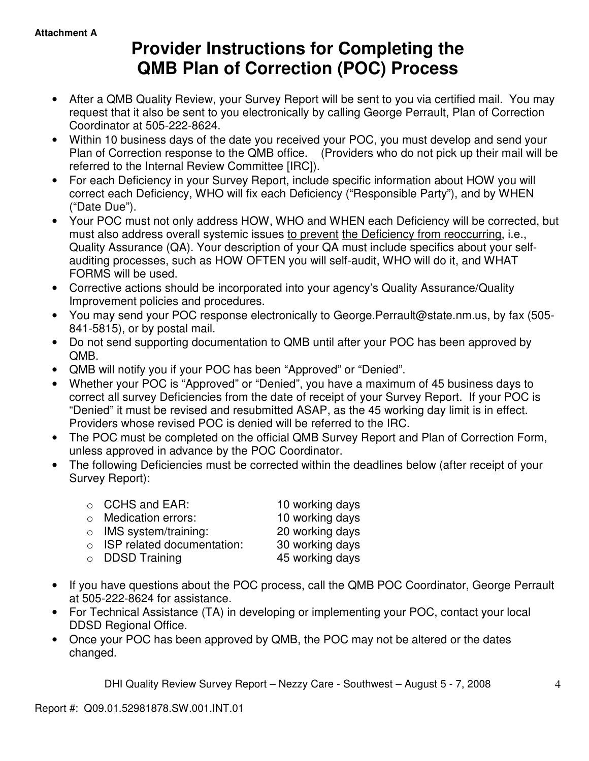# **Provider Instructions for Completing the QMB Plan of Correction (POC) Process**

- After a QMB Quality Review, your Survey Report will be sent to you via certified mail. You may request that it also be sent to you electronically by calling George Perrault, Plan of Correction Coordinator at 505-222-8624.
- Within 10 business days of the date you received your POC, you must develop and send your Plan of Correction response to the QMB office. (Providers who do not pick up their mail will be referred to the Internal Review Committee [IRC]).
- For each Deficiency in your Survey Report, include specific information about HOW you will correct each Deficiency, WHO will fix each Deficiency ("Responsible Party"), and by WHEN ("Date Due").
- Your POC must not only address HOW, WHO and WHEN each Deficiency will be corrected, but must also address overall systemic issues to prevent the Deficiency from reoccurring, i.e., Quality Assurance (QA). Your description of your QA must include specifics about your selfauditing processes, such as HOW OFTEN you will self-audit, WHO will do it, and WHAT FORMS will be used.
- Corrective actions should be incorporated into your agency's Quality Assurance/Quality Improvement policies and procedures.
- You may send your POC response electronically to George.Perrault@state.nm.us, by fax (505- 841-5815), or by postal mail.
- Do not send supporting documentation to QMB until after your POC has been approved by QMB.
- QMB will notify you if your POC has been "Approved" or "Denied".
- Whether your POC is "Approved" or "Denied", you have a maximum of 45 business days to correct all survey Deficiencies from the date of receipt of your Survey Report. If your POC is "Denied" it must be revised and resubmitted ASAP, as the 45 working day limit is in effect. Providers whose revised POC is denied will be referred to the IRC.
- The POC must be completed on the official QMB Survey Report and Plan of Correction Form, unless approved in advance by the POC Coordinator.
- The following Deficiencies must be corrected within the deadlines below (after receipt of your Survey Report):

| $\circ$ CCHS and EAR:              | 10 working days |
|------------------------------------|-----------------|
| o Medication errors:               | 10 working days |
| $\circ$ IMS system/training:       | 20 working days |
| $\circ$ ISP related documentation: | 30 working days |
| $\circ$ DDSD Training              | 45 working days |
|                                    |                 |

- If you have questions about the POC process, call the QMB POC Coordinator, George Perrault at 505-222-8624 for assistance.
- For Technical Assistance (TA) in developing or implementing your POC, contact your local DDSD Regional Office.
- Once your POC has been approved by QMB, the POC may not be altered or the dates changed.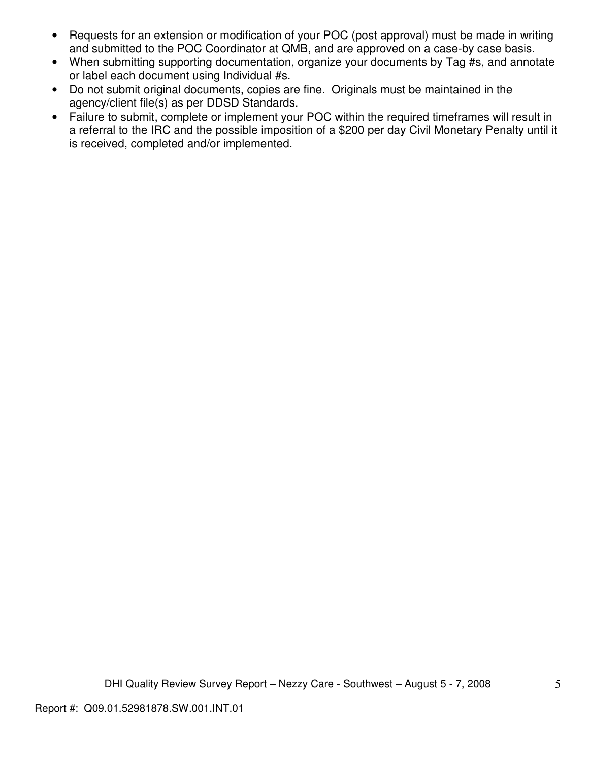- Requests for an extension or modification of your POC (post approval) must be made in writing and submitted to the POC Coordinator at QMB, and are approved on a case-by case basis.
- When submitting supporting documentation, organize your documents by Tag #s, and annotate or label each document using Individual #s.
- Do not submit original documents, copies are fine. Originals must be maintained in the agency/client file(s) as per DDSD Standards.
- Failure to submit, complete or implement your POC within the required timeframes will result in a referral to the IRC and the possible imposition of a \$200 per day Civil Monetary Penalty until it is received, completed and/or implemented.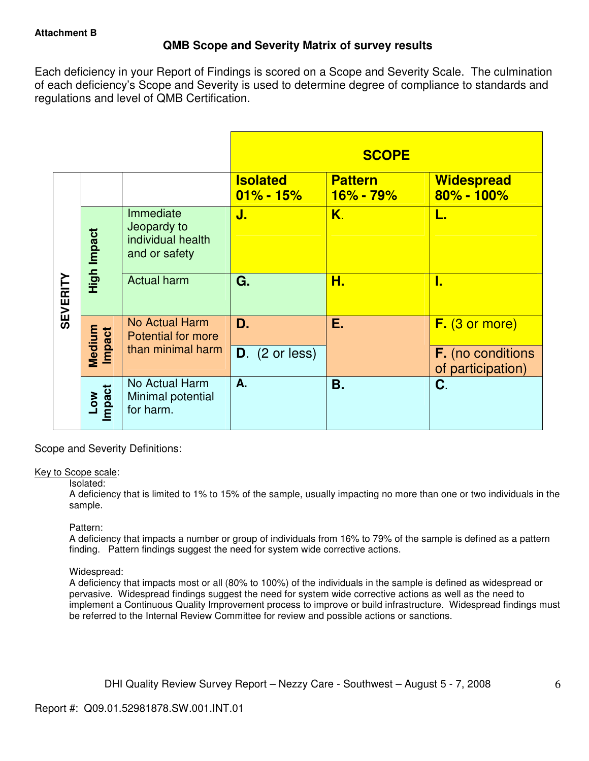# **QMB Scope and Severity Matrix of survey results**

Each deficiency in your Report of Findings is scored on a Scope and Severity Scale. The culmination of each deficiency's Scope and Severity is used to determine degree of compliance to standards and regulations and level of QMB Certification.

|                 |                  |                                                                |                                  | <b>SCOPE</b>                    |                                               |
|-----------------|------------------|----------------------------------------------------------------|----------------------------------|---------------------------------|-----------------------------------------------|
|                 |                  |                                                                | <b>Isolated</b><br>$01\% - 15\%$ | <b>Pattern</b><br>$16\% - 79\%$ | <b>Widespread</b><br>80% - 100%               |
| <b>SEVERITY</b> | High Impact      | Immediate<br>Jeopardy to<br>individual health<br>and or safety | J.                               | Κ.                              | L.                                            |
|                 |                  | <b>Actual harm</b>                                             | G.                               | Н.                              | I.                                            |
|                 | Medium<br>Impact | No Actual Harm<br><b>Potential for more</b>                    | D.                               | Е.                              | $F.$ (3 or more)                              |
|                 |                  | than minimal harm                                              | $D.$ (2 or less)                 |                                 | <b>F.</b> (no conditions<br>of participation) |
|                 | Impact<br>MOT    | No Actual Harm<br>Minimal potential<br>for harm.               | A.                               | <b>B.</b>                       | C.                                            |

Scope and Severity Definitions:

#### Key to Scope scale:

#### Isolated:

A deficiency that is limited to 1% to 15% of the sample, usually impacting no more than one or two individuals in the sample.

## Pattern:

A deficiency that impacts a number or group of individuals from 16% to 79% of the sample is defined as a pattern finding. Pattern findings suggest the need for system wide corrective actions.

## Widespread:

A deficiency that impacts most or all (80% to 100%) of the individuals in the sample is defined as widespread or pervasive. Widespread findings suggest the need for system wide corrective actions as well as the need to implement a Continuous Quality Improvement process to improve or build infrastructure. Widespread findings must be referred to the Internal Review Committee for review and possible actions or sanctions.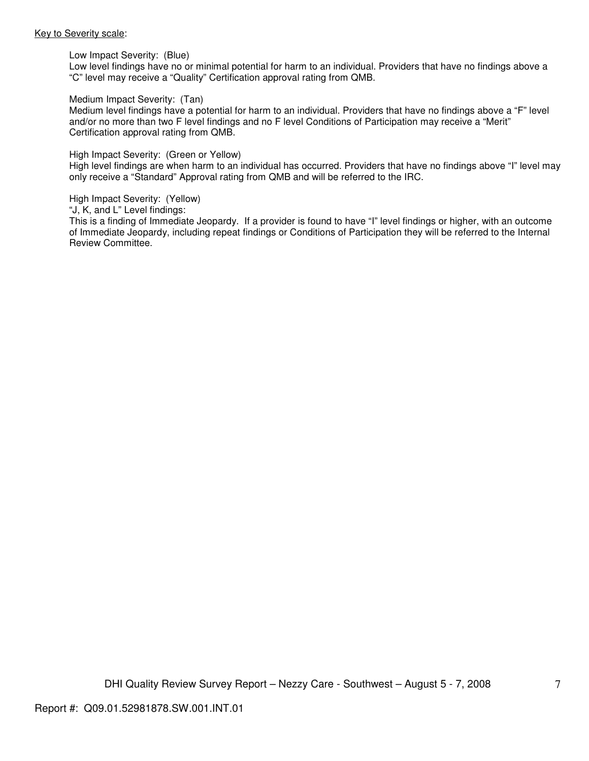#### Key to Severity scale:

Low Impact Severity: (Blue)

Low level findings have no or minimal potential for harm to an individual. Providers that have no findings above a "C" level may receive a "Quality" Certification approval rating from QMB.

#### Medium Impact Severity: (Tan)

Medium level findings have a potential for harm to an individual. Providers that have no findings above a "F" level and/or no more than two F level findings and no F level Conditions of Participation may receive a "Merit" Certification approval rating from QMB.

#### High Impact Severity: (Green or Yellow)

High level findings are when harm to an individual has occurred. Providers that have no findings above "I" level may only receive a "Standard" Approval rating from QMB and will be referred to the IRC.

#### High Impact Severity: (Yellow)

"J, K, and L" Level findings:

This is a finding of Immediate Jeopardy. If a provider is found to have "I" level findings or higher, with an outcome of Immediate Jeopardy, including repeat findings or Conditions of Participation they will be referred to the Internal Review Committee.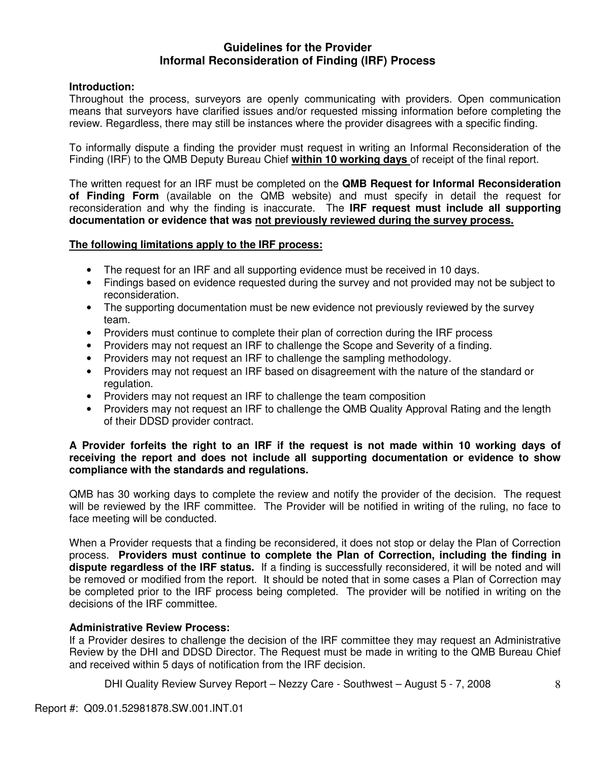## **Guidelines for the Provider Informal Reconsideration of Finding (IRF) Process**

## **Introduction:**

Throughout the process, surveyors are openly communicating with providers. Open communication means that surveyors have clarified issues and/or requested missing information before completing the review. Regardless, there may still be instances where the provider disagrees with a specific finding.

To informally dispute a finding the provider must request in writing an Informal Reconsideration of the Finding (IRF) to the QMB Deputy Bureau Chief **within 10 working days** of receipt of the final report.

The written request for an IRF must be completed on the **QMB Request for Informal Reconsideration of Finding Form** (available on the QMB website) and must specify in detail the request for reconsideration and why the finding is inaccurate. The **IRF request must include all supporting documentation or evidence that was not previously reviewed during the survey process.** 

## **The following limitations apply to the IRF process:**

- The request for an IRF and all supporting evidence must be received in 10 days.
- Findings based on evidence requested during the survey and not provided may not be subject to reconsideration.
- The supporting documentation must be new evidence not previously reviewed by the survey team.
- Providers must continue to complete their plan of correction during the IRF process
- Providers may not request an IRF to challenge the Scope and Severity of a finding.
- Providers may not request an IRF to challenge the sampling methodology.
- Providers may not request an IRF based on disagreement with the nature of the standard or regulation.
- Providers may not request an IRF to challenge the team composition
- Providers may not request an IRF to challenge the QMB Quality Approval Rating and the length of their DDSD provider contract.

## **A Provider forfeits the right to an IRF if the request is not made within 10 working days of receiving the report and does not include all supporting documentation or evidence to show compliance with the standards and regulations.**

QMB has 30 working days to complete the review and notify the provider of the decision. The request will be reviewed by the IRF committee. The Provider will be notified in writing of the ruling, no face to face meeting will be conducted.

When a Provider requests that a finding be reconsidered, it does not stop or delay the Plan of Correction process. **Providers must continue to complete the Plan of Correction, including the finding in dispute regardless of the IRF status.** If a finding is successfully reconsidered, it will be noted and will be removed or modified from the report. It should be noted that in some cases a Plan of Correction may be completed prior to the IRF process being completed. The provider will be notified in writing on the decisions of the IRF committee.

## **Administrative Review Process:**

If a Provider desires to challenge the decision of the IRF committee they may request an Administrative Review by the DHI and DDSD Director. The Request must be made in writing to the QMB Bureau Chief and received within 5 days of notification from the IRF decision.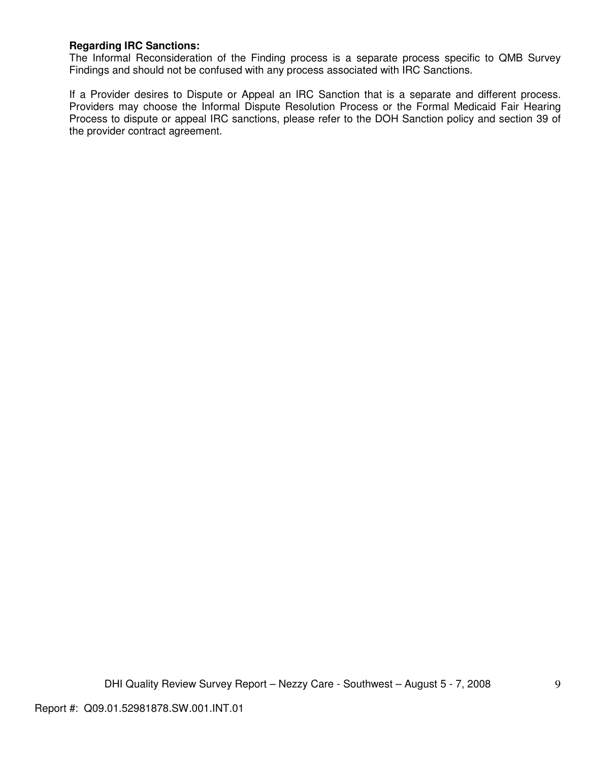## **Regarding IRC Sanctions:**

The Informal Reconsideration of the Finding process is a separate process specific to QMB Survey Findings and should not be confused with any process associated with IRC Sanctions.

If a Provider desires to Dispute or Appeal an IRC Sanction that is a separate and different process. Providers may choose the Informal Dispute Resolution Process or the Formal Medicaid Fair Hearing Process to dispute or appeal IRC sanctions, please refer to the DOH Sanction policy and section 39 of the provider contract agreement.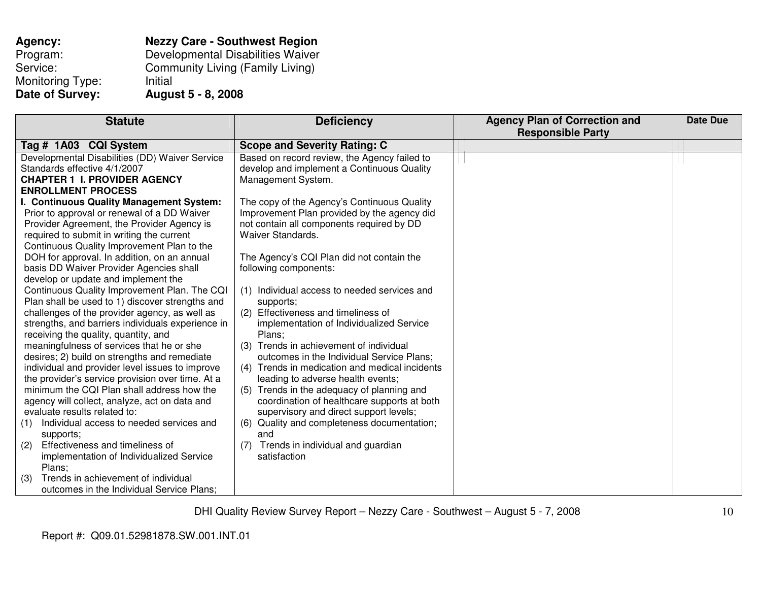| Agency:          | <b>Nezzy Care - Southwest Region</b>    |
|------------------|-----------------------------------------|
| Program:         | Developmental Disabilities Waiver       |
| Service:         | <b>Community Living (Family Living)</b> |
| Monitoring Type: | Initial                                 |
| Date of Survey:  | <b>August 5 - 8, 2008</b>               |

| <b>Statute</b>                                                                                                                                                                                                                                                                                                                                                                                                                                                                                                                                                                                                                                                                                                                                   | <b>Deficiency</b>                                                                                                                                                                                                                                                                                                                                                                                                                                                                                                                                                                          | <b>Agency Plan of Correction and</b><br><b>Responsible Party</b> | <b>Date Due</b> |
|--------------------------------------------------------------------------------------------------------------------------------------------------------------------------------------------------------------------------------------------------------------------------------------------------------------------------------------------------------------------------------------------------------------------------------------------------------------------------------------------------------------------------------------------------------------------------------------------------------------------------------------------------------------------------------------------------------------------------------------------------|--------------------------------------------------------------------------------------------------------------------------------------------------------------------------------------------------------------------------------------------------------------------------------------------------------------------------------------------------------------------------------------------------------------------------------------------------------------------------------------------------------------------------------------------------------------------------------------------|------------------------------------------------------------------|-----------------|
| Tag # 1A03 CQI System                                                                                                                                                                                                                                                                                                                                                                                                                                                                                                                                                                                                                                                                                                                            | <b>Scope and Severity Rating: C</b>                                                                                                                                                                                                                                                                                                                                                                                                                                                                                                                                                        |                                                                  |                 |
| Developmental Disabilities (DD) Waiver Service<br>Standards effective 4/1/2007<br><b>CHAPTER 1 I. PROVIDER AGENCY</b><br><b>ENROLLMENT PROCESS</b>                                                                                                                                                                                                                                                                                                                                                                                                                                                                                                                                                                                               | Based on record review, the Agency failed to<br>develop and implement a Continuous Quality<br>Management System.                                                                                                                                                                                                                                                                                                                                                                                                                                                                           |                                                                  |                 |
| I. Continuous Quality Management System:<br>Prior to approval or renewal of a DD Waiver<br>Provider Agreement, the Provider Agency is<br>required to submit in writing the current<br>Continuous Quality Improvement Plan to the                                                                                                                                                                                                                                                                                                                                                                                                                                                                                                                 | The copy of the Agency's Continuous Quality<br>Improvement Plan provided by the agency did<br>not contain all components required by DD<br>Waiver Standards.                                                                                                                                                                                                                                                                                                                                                                                                                               |                                                                  |                 |
| DOH for approval. In addition, on an annual<br>basis DD Waiver Provider Agencies shall<br>develop or update and implement the                                                                                                                                                                                                                                                                                                                                                                                                                                                                                                                                                                                                                    | The Agency's CQI Plan did not contain the<br>following components:                                                                                                                                                                                                                                                                                                                                                                                                                                                                                                                         |                                                                  |                 |
| Continuous Quality Improvement Plan. The CQI<br>Plan shall be used to 1) discover strengths and<br>challenges of the provider agency, as well as<br>strengths, and barriers individuals experience in<br>receiving the quality, quantity, and<br>meaningfulness of services that he or she<br>desires; 2) build on strengths and remediate<br>individual and provider level issues to improve<br>the provider's service provision over time. At a<br>minimum the CQI Plan shall address how the<br>agency will collect, analyze, act on data and<br>evaluate results related to:<br>Individual access to needed services and<br>(1)<br>supports;<br>Effectiveness and timeliness of<br>(2)<br>implementation of Individualized Service<br>Plans; | (1) Individual access to needed services and<br>supports;<br>(2) Effectiveness and timeliness of<br>implementation of Individualized Service<br>Plans;<br>Trends in achievement of individual<br>outcomes in the Individual Service Plans;<br>(4) Trends in medication and medical incidents<br>leading to adverse health events;<br>(5) Trends in the adequacy of planning and<br>coordination of healthcare supports at both<br>supervisory and direct support levels;<br>(6) Quality and completeness documentation;<br>and<br>Trends in individual and guardian<br>(7)<br>satisfaction |                                                                  |                 |
| Trends in achievement of individual<br>(3)<br>outcomes in the Individual Service Plans;                                                                                                                                                                                                                                                                                                                                                                                                                                                                                                                                                                                                                                                          |                                                                                                                                                                                                                                                                                                                                                                                                                                                                                                                                                                                            |                                                                  |                 |

10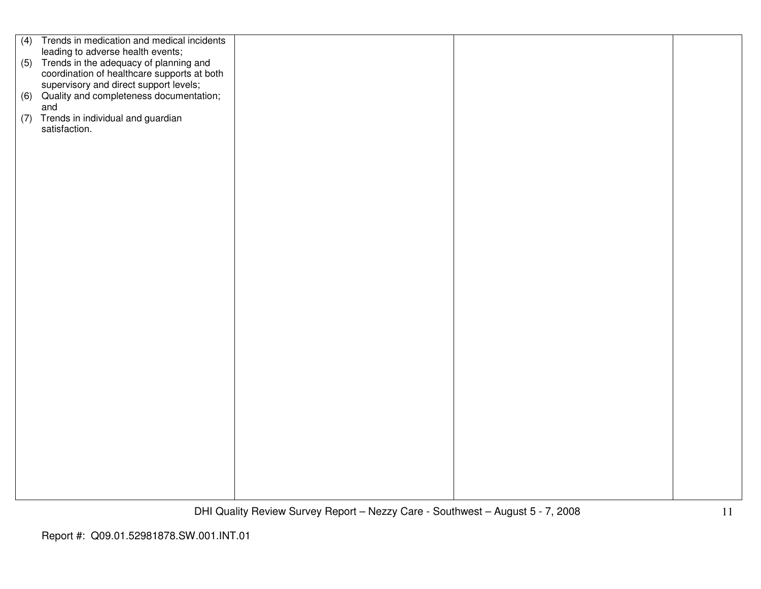| (4) | Trends in medication and medical incidents  |  |  |
|-----|---------------------------------------------|--|--|
|     | leading to adverse health events;           |  |  |
|     |                                             |  |  |
|     | (5) Trends in the adequacy of planning and  |  |  |
|     | coordination of healthcare supports at both |  |  |
|     | supervisory and direct support levels;      |  |  |
| (6) | Quality and completeness documentation;     |  |  |
|     | and                                         |  |  |
|     | (7) Trends in individual and guardian       |  |  |
|     | satisfaction.                               |  |  |
|     |                                             |  |  |
|     |                                             |  |  |
|     |                                             |  |  |
|     |                                             |  |  |
|     |                                             |  |  |
|     |                                             |  |  |
|     |                                             |  |  |
|     |                                             |  |  |
|     |                                             |  |  |
|     |                                             |  |  |
|     |                                             |  |  |
|     |                                             |  |  |
|     |                                             |  |  |
|     |                                             |  |  |
|     |                                             |  |  |
|     |                                             |  |  |
|     |                                             |  |  |
|     |                                             |  |  |
|     |                                             |  |  |
|     |                                             |  |  |
|     |                                             |  |  |
|     |                                             |  |  |
|     |                                             |  |  |
|     |                                             |  |  |
|     |                                             |  |  |
|     |                                             |  |  |
|     |                                             |  |  |
|     |                                             |  |  |
|     |                                             |  |  |
|     |                                             |  |  |
|     |                                             |  |  |
|     |                                             |  |  |
|     |                                             |  |  |
|     |                                             |  |  |
|     |                                             |  |  |
|     |                                             |  |  |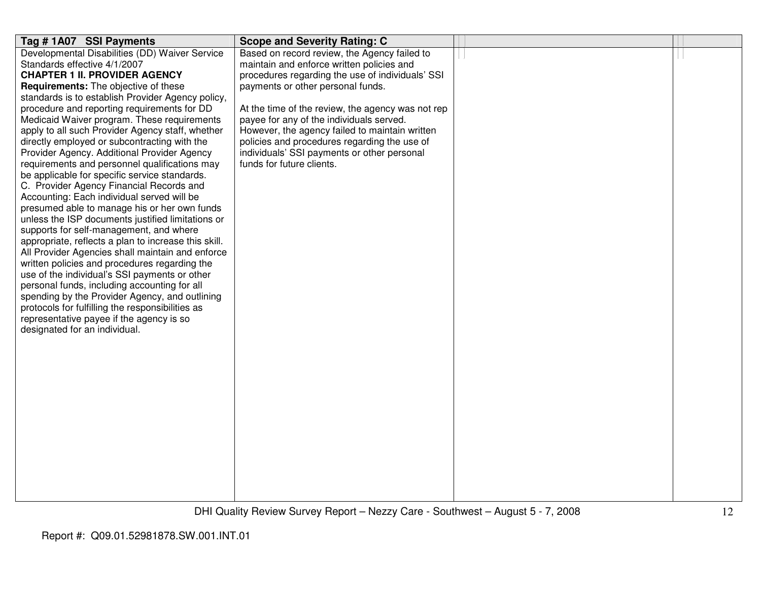| Tag #1A07 SSI Payments                                                                          | <b>Scope and Severity Rating: C</b>               |  |
|-------------------------------------------------------------------------------------------------|---------------------------------------------------|--|
| Developmental Disabilities (DD) Waiver Service                                                  | Based on record review, the Agency failed to      |  |
| Standards effective 4/1/2007                                                                    | maintain and enforce written policies and         |  |
| <b>CHAPTER 1 II. PROVIDER AGENCY</b>                                                            | procedures regarding the use of individuals' SSI  |  |
| <b>Requirements:</b> The objective of these                                                     | payments or other personal funds.                 |  |
| standards is to establish Provider Agency policy,                                               |                                                   |  |
| procedure and reporting requirements for DD                                                     | At the time of the review, the agency was not rep |  |
| Medicaid Waiver program. These requirements                                                     | payee for any of the individuals served.          |  |
| apply to all such Provider Agency staff, whether                                                | However, the agency failed to maintain written    |  |
| directly employed or subcontracting with the                                                    | policies and procedures regarding the use of      |  |
| Provider Agency. Additional Provider Agency                                                     | individuals' SSI payments or other personal       |  |
| requirements and personnel qualifications may                                                   | funds for future clients.                         |  |
| be applicable for specific service standards.                                                   |                                                   |  |
| C. Provider Agency Financial Records and                                                        |                                                   |  |
| Accounting: Each individual served will be                                                      |                                                   |  |
| presumed able to manage his or her own funds                                                    |                                                   |  |
| unless the ISP documents justified limitations or                                               |                                                   |  |
| supports for self-management, and where<br>appropriate, reflects a plan to increase this skill. |                                                   |  |
| All Provider Agencies shall maintain and enforce                                                |                                                   |  |
| written policies and procedures regarding the                                                   |                                                   |  |
| use of the individual's SSI payments or other                                                   |                                                   |  |
| personal funds, including accounting for all                                                    |                                                   |  |
| spending by the Provider Agency, and outlining                                                  |                                                   |  |
| protocols for fulfilling the responsibilities as                                                |                                                   |  |
| representative payee if the agency is so                                                        |                                                   |  |
| designated for an individual.                                                                   |                                                   |  |
|                                                                                                 |                                                   |  |
|                                                                                                 |                                                   |  |
|                                                                                                 |                                                   |  |
|                                                                                                 |                                                   |  |
|                                                                                                 |                                                   |  |
|                                                                                                 |                                                   |  |
|                                                                                                 |                                                   |  |
|                                                                                                 |                                                   |  |
|                                                                                                 |                                                   |  |
|                                                                                                 |                                                   |  |
|                                                                                                 |                                                   |  |
|                                                                                                 |                                                   |  |
|                                                                                                 |                                                   |  |
|                                                                                                 |                                                   |  |
|                                                                                                 |                                                   |  |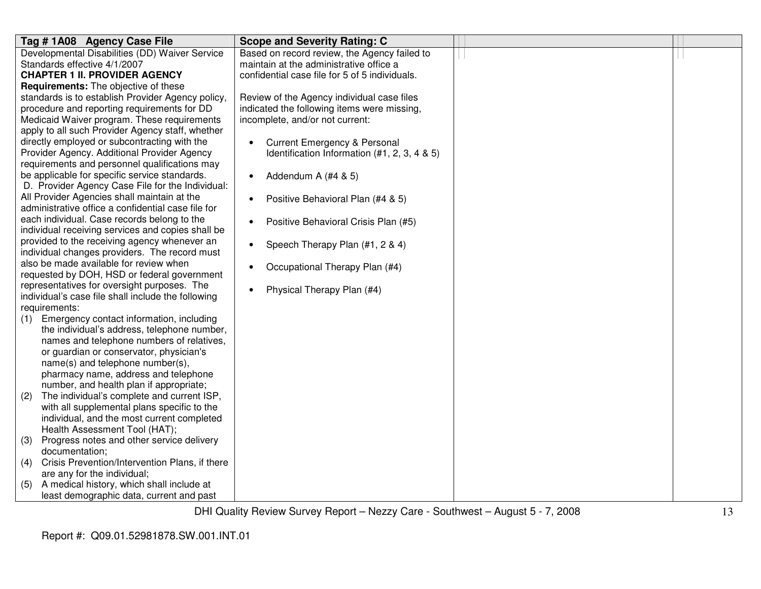| Tag # 1A08 Agency Case File                                              | <b>Scope and Severity Rating: C</b>                  |  |
|--------------------------------------------------------------------------|------------------------------------------------------|--|
| Developmental Disabilities (DD) Waiver Service                           | Based on record review, the Agency failed to         |  |
| Standards effective 4/1/2007                                             | maintain at the administrative office a              |  |
| <b>CHAPTER 1 II. PROVIDER AGENCY</b>                                     | confidential case file for 5 of 5 individuals.       |  |
| <b>Requirements:</b> The objective of these                              |                                                      |  |
| standards is to establish Provider Agency policy,                        | Review of the Agency individual case files           |  |
| procedure and reporting requirements for DD                              | indicated the following items were missing,          |  |
| Medicaid Waiver program. These requirements                              | incomplete, and/or not current:                      |  |
| apply to all such Provider Agency staff, whether                         |                                                      |  |
| directly employed or subcontracting with the                             | <b>Current Emergency &amp; Personal</b><br>$\bullet$ |  |
| Provider Agency. Additional Provider Agency                              | Identification Information (#1, 2, 3, 4 & 5)         |  |
| requirements and personnel qualifications may                            |                                                      |  |
| be applicable for specific service standards.                            | Addendum A (#4 & 5)<br>$\bullet$                     |  |
| D. Provider Agency Case File for the Individual:                         |                                                      |  |
| All Provider Agencies shall maintain at the                              | Positive Behavioral Plan (#4 & 5)<br>$\bullet$       |  |
| administrative office a confidential case file for                       |                                                      |  |
| each individual. Case records belong to the                              | Positive Behavioral Crisis Plan (#5)<br>$\bullet$    |  |
| individual receiving services and copies shall be                        |                                                      |  |
| provided to the receiving agency whenever an                             | Speech Therapy Plan (#1, 2 & 4)<br>$\bullet$         |  |
| individual changes providers. The record must                            |                                                      |  |
| also be made available for review when                                   | Occupational Therapy Plan (#4)<br>$\bullet$          |  |
| requested by DOH, HSD or federal government                              |                                                      |  |
| representatives for oversight purposes. The                              | Physical Therapy Plan (#4)<br>$\bullet$              |  |
| individual's case file shall include the following                       |                                                      |  |
| requirements:                                                            |                                                      |  |
| Emergency contact information, including<br>(1)                          |                                                      |  |
| the individual's address, telephone number,                              |                                                      |  |
| names and telephone numbers of relatives,                                |                                                      |  |
| or guardian or conservator, physician's                                  |                                                      |  |
| name(s) and telephone number(s),                                         |                                                      |  |
| pharmacy name, address and telephone                                     |                                                      |  |
| number, and health plan if appropriate;                                  |                                                      |  |
| The individual's complete and current ISP,<br>(2)                        |                                                      |  |
| with all supplemental plans specific to the                              |                                                      |  |
| individual, and the most current completed                               |                                                      |  |
| Health Assessment Tool (HAT);                                            |                                                      |  |
| Progress notes and other service delivery<br>(3)<br>documentation;       |                                                      |  |
| Crisis Prevention/Intervention Plans, if there                           |                                                      |  |
| (4)                                                                      |                                                      |  |
| are any for the individual;<br>A medical history, which shall include at |                                                      |  |
| (5)                                                                      |                                                      |  |
| least demographic data, current and past                                 |                                                      |  |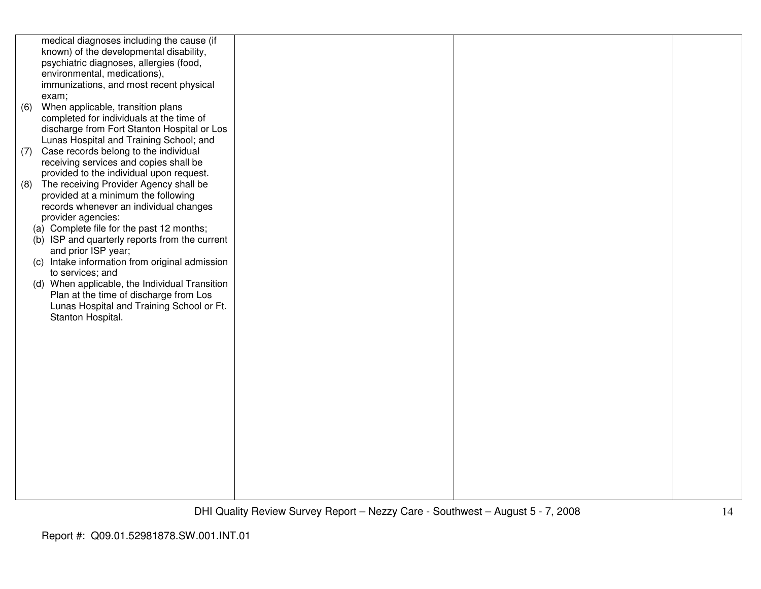|     | medical diagnoses including the cause (if      |  |  |
|-----|------------------------------------------------|--|--|
|     | known) of the developmental disability,        |  |  |
|     | psychiatric diagnoses, allergies (food,        |  |  |
|     | environmental, medications),                   |  |  |
|     | immunizations, and most recent physical        |  |  |
|     | exam;                                          |  |  |
| (6) | When applicable, transition plans              |  |  |
|     | completed for individuals at the time of       |  |  |
|     | discharge from Fort Stanton Hospital or Los    |  |  |
|     | Lunas Hospital and Training School; and        |  |  |
| (7) | Case records belong to the individual          |  |  |
|     | receiving services and copies shall be         |  |  |
|     | provided to the individual upon request.       |  |  |
| (8) | The receiving Provider Agency shall be         |  |  |
|     | provided at a minimum the following            |  |  |
|     | records whenever an individual changes         |  |  |
|     | provider agencies:                             |  |  |
|     | (a) Complete file for the past 12 months;      |  |  |
|     | (b) ISP and quarterly reports from the current |  |  |
|     | and prior ISP year;                            |  |  |
|     | (c) Intake information from original admission |  |  |
|     | to services; and                               |  |  |
|     | (d) When applicable, the Individual Transition |  |  |
|     | Plan at the time of discharge from Los         |  |  |
|     | Lunas Hospital and Training School or Ft.      |  |  |
|     | Stanton Hospital.                              |  |  |
|     |                                                |  |  |
|     |                                                |  |  |
|     |                                                |  |  |
|     |                                                |  |  |
|     |                                                |  |  |
|     |                                                |  |  |
|     |                                                |  |  |
|     |                                                |  |  |
|     |                                                |  |  |
|     |                                                |  |  |
|     |                                                |  |  |
|     |                                                |  |  |
|     |                                                |  |  |
|     |                                                |  |  |
|     |                                                |  |  |
|     |                                                |  |  |
|     |                                                |  |  |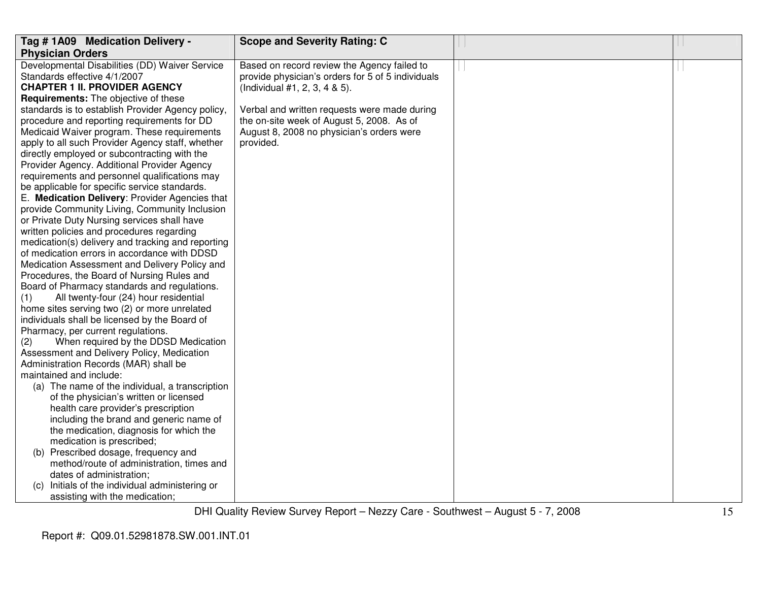| Tag #1A09 Medication Delivery -                                                                   | <b>Scope and Severity Rating: C</b>               |  |
|---------------------------------------------------------------------------------------------------|---------------------------------------------------|--|
| <b>Physician Orders</b>                                                                           |                                                   |  |
| Developmental Disabilities (DD) Waiver Service                                                    | Based on record review the Agency failed to       |  |
| Standards effective 4/1/2007                                                                      | provide physician's orders for 5 of 5 individuals |  |
| <b>CHAPTER 1 II. PROVIDER AGENCY</b>                                                              | (Individual #1, 2, 3, 4 & 5).                     |  |
| <b>Requirements:</b> The objective of these                                                       |                                                   |  |
| standards is to establish Provider Agency policy,                                                 | Verbal and written requests were made during      |  |
| procedure and reporting requirements for DD                                                       | the on-site week of August 5, 2008. As of         |  |
| Medicaid Waiver program. These requirements                                                       | August 8, 2008 no physician's orders were         |  |
| apply to all such Provider Agency staff, whether                                                  | provided.                                         |  |
| directly employed or subcontracting with the                                                      |                                                   |  |
| Provider Agency. Additional Provider Agency                                                       |                                                   |  |
| requirements and personnel qualifications may                                                     |                                                   |  |
| be applicable for specific service standards.                                                     |                                                   |  |
| E. Medication Delivery: Provider Agencies that                                                    |                                                   |  |
| provide Community Living, Community Inclusion                                                     |                                                   |  |
| or Private Duty Nursing services shall have                                                       |                                                   |  |
| written policies and procedures regarding                                                         |                                                   |  |
| medication(s) delivery and tracking and reporting<br>of medication errors in accordance with DDSD |                                                   |  |
| Medication Assessment and Delivery Policy and                                                     |                                                   |  |
| Procedures, the Board of Nursing Rules and                                                        |                                                   |  |
| Board of Pharmacy standards and regulations.                                                      |                                                   |  |
| All twenty-four (24) hour residential<br>(1)                                                      |                                                   |  |
| home sites serving two (2) or more unrelated                                                      |                                                   |  |
| individuals shall be licensed by the Board of                                                     |                                                   |  |
| Pharmacy, per current regulations.                                                                |                                                   |  |
| When required by the DDSD Medication<br>(2)                                                       |                                                   |  |
| Assessment and Delivery Policy, Medication                                                        |                                                   |  |
| Administration Records (MAR) shall be                                                             |                                                   |  |
| maintained and include:                                                                           |                                                   |  |
| (a) The name of the individual, a transcription                                                   |                                                   |  |
| of the physician's written or licensed                                                            |                                                   |  |
| health care provider's prescription                                                               |                                                   |  |
| including the brand and generic name of                                                           |                                                   |  |
| the medication, diagnosis for which the                                                           |                                                   |  |
| medication is prescribed;                                                                         |                                                   |  |
| (b) Prescribed dosage, frequency and                                                              |                                                   |  |
| method/route of administration, times and                                                         |                                                   |  |
| dates of administration;                                                                          |                                                   |  |
| Initials of the individual administering or<br>(C)                                                |                                                   |  |
| assisting with the medication;                                                                    |                                                   |  |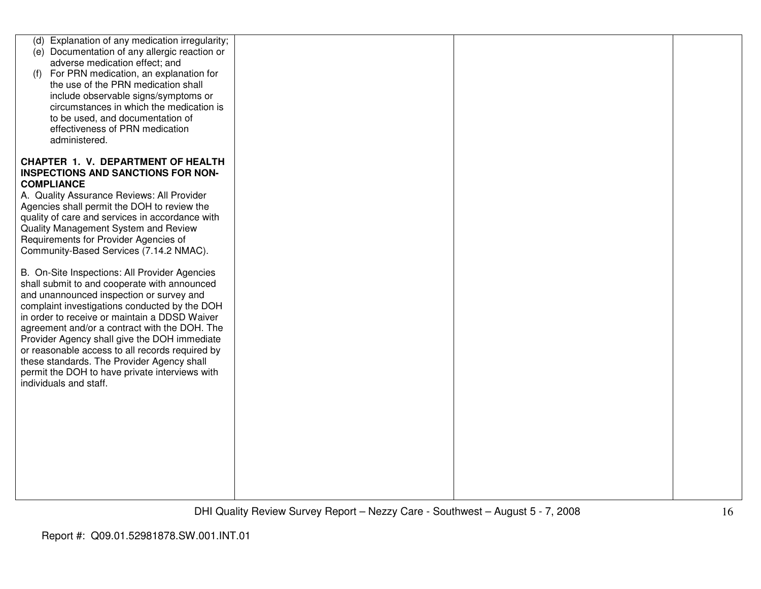| (d) Explanation of any medication irregularity; |  |  |
|-------------------------------------------------|--|--|
| (e) Documentation of any allergic reaction or   |  |  |
| adverse medication effect; and                  |  |  |
|                                                 |  |  |
| (f) For PRN medication, an explanation for      |  |  |
| the use of the PRN medication shall             |  |  |
| include observable signs/symptoms or            |  |  |
| circumstances in which the medication is        |  |  |
| to be used, and documentation of                |  |  |
| effectiveness of PRN medication                 |  |  |
| administered.                                   |  |  |
|                                                 |  |  |
| <b>CHAPTER 1. V. DEPARTMENT OF HEALTH</b>       |  |  |
| <b>INSPECTIONS AND SANCTIONS FOR NON-</b>       |  |  |
| <b>COMPLIANCE</b>                               |  |  |
|                                                 |  |  |
| A. Quality Assurance Reviews: All Provider      |  |  |
| Agencies shall permit the DOH to review the     |  |  |
| quality of care and services in accordance with |  |  |
| Quality Management System and Review            |  |  |
| Requirements for Provider Agencies of           |  |  |
| Community-Based Services (7.14.2 NMAC).         |  |  |
|                                                 |  |  |
| B. On-Site Inspections: All Provider Agencies   |  |  |
| shall submit to and cooperate with announced    |  |  |
| and unannounced inspection or survey and        |  |  |
| complaint investigations conducted by the DOH   |  |  |
| in order to receive or maintain a DDSD Waiver   |  |  |
|                                                 |  |  |
| agreement and/or a contract with the DOH. The   |  |  |
| Provider Agency shall give the DOH immediate    |  |  |
| or reasonable access to all records required by |  |  |
| these standards. The Provider Agency shall      |  |  |
| permit the DOH to have private interviews with  |  |  |
| individuals and staff.                          |  |  |
|                                                 |  |  |
|                                                 |  |  |
|                                                 |  |  |
|                                                 |  |  |
|                                                 |  |  |
|                                                 |  |  |
|                                                 |  |  |
|                                                 |  |  |
|                                                 |  |  |
|                                                 |  |  |
|                                                 |  |  |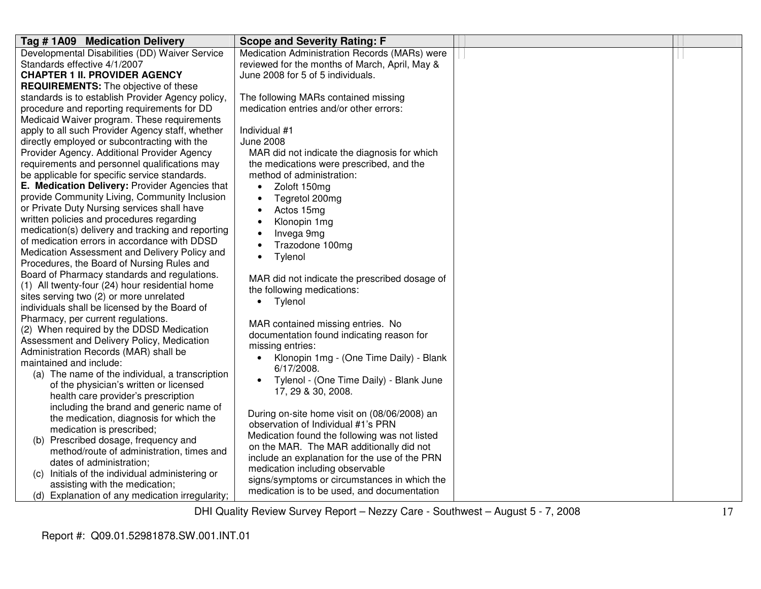| Tag #1A09 Medication Delivery                                                                  | <b>Scope and Severity Rating: F</b>                                             |  |
|------------------------------------------------------------------------------------------------|---------------------------------------------------------------------------------|--|
| Developmental Disabilities (DD) Waiver Service                                                 | Medication Administration Records (MARs) were                                   |  |
| Standards effective 4/1/2007                                                                   | reviewed for the months of March, April, May &                                  |  |
| <b>CHAPTER 1 II. PROVIDER AGENCY</b>                                                           | June 2008 for 5 of 5 individuals.                                               |  |
| <b>REQUIREMENTS:</b> The objective of these                                                    |                                                                                 |  |
| standards is to establish Provider Agency policy,                                              | The following MARs contained missing                                            |  |
| procedure and reporting requirements for DD                                                    | medication entries and/or other errors:                                         |  |
| Medicaid Waiver program. These requirements                                                    |                                                                                 |  |
| apply to all such Provider Agency staff, whether                                               | Individual #1                                                                   |  |
| directly employed or subcontracting with the                                                   | <b>June 2008</b>                                                                |  |
| Provider Agency. Additional Provider Agency                                                    | MAR did not indicate the diagnosis for which                                    |  |
| requirements and personnel qualifications may                                                  | the medications were prescribed, and the                                        |  |
| be applicable for specific service standards.                                                  | method of administration:                                                       |  |
| E. Medication Delivery: Provider Agencies that                                                 | Zoloft 150mg<br>$\bullet$                                                       |  |
| provide Community Living, Community Inclusion                                                  | Tegretol 200mg                                                                  |  |
| or Private Duty Nursing services shall have                                                    | Actos 15mg                                                                      |  |
| written policies and procedures regarding<br>medication(s) delivery and tracking and reporting | Klonopin 1mg<br>$\bullet$                                                       |  |
| of medication errors in accordance with DDSD                                                   | Invega 9mg                                                                      |  |
| Medication Assessment and Delivery Policy and                                                  | Trazodone 100mg                                                                 |  |
| Procedures, the Board of Nursing Rules and                                                     | Tylenol<br>$\bullet$                                                            |  |
| Board of Pharmacy standards and regulations.                                                   |                                                                                 |  |
| (1) All twenty-four (24) hour residential home                                                 | MAR did not indicate the prescribed dosage of                                   |  |
| sites serving two (2) or more unrelated                                                        | the following medications:                                                      |  |
| individuals shall be licensed by the Board of                                                  | Tylenol<br>$\bullet$                                                            |  |
| Pharmacy, per current regulations.                                                             |                                                                                 |  |
| (2) When required by the DDSD Medication                                                       | MAR contained missing entries. No                                               |  |
| Assessment and Delivery Policy, Medication                                                     | documentation found indicating reason for                                       |  |
| Administration Records (MAR) shall be                                                          | missing entries:                                                                |  |
| maintained and include:                                                                        | Klonopin 1mg - (One Time Daily) - Blank<br>$\bullet$                            |  |
| (a) The name of the individual, a transcription                                                | 6/17/2008.                                                                      |  |
| of the physician's written or licensed                                                         | Tylenol - (One Time Daily) - Blank June<br>$\bullet$                            |  |
| health care provider's prescription                                                            | 17, 29 & 30, 2008.                                                              |  |
| including the brand and generic name of                                                        |                                                                                 |  |
| the medication, diagnosis for which the                                                        | During on-site home visit on (08/06/2008) an                                    |  |
| medication is prescribed;                                                                      | observation of Individual #1's PRN                                              |  |
| (b) Prescribed dosage, frequency and                                                           | Medication found the following was not listed                                   |  |
| method/route of administration, times and                                                      | on the MAR. The MAR additionally did not                                        |  |
| dates of administration;                                                                       | include an explanation for the use of the PRN                                   |  |
| (c) Initials of the individual administering or                                                | medication including observable<br>signs/symptoms or circumstances in which the |  |
| assisting with the medication;                                                                 | medication is to be used, and documentation                                     |  |
| (d) Explanation of any medication irregularity;                                                |                                                                                 |  |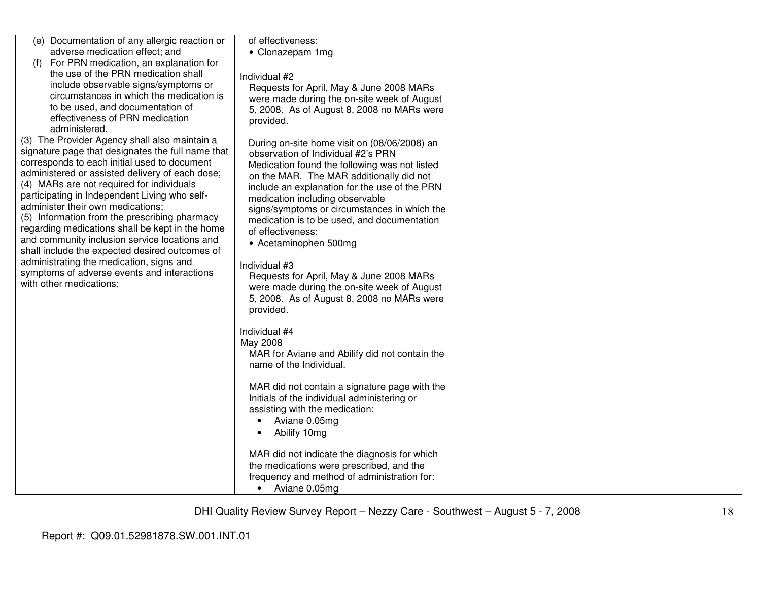| (e) Documentation of any allergic reaction or<br>adverse medication effect; and<br>For PRN medication, an explanation for<br>(f)<br>the use of the PRN medication shall<br>include observable signs/symptoms or<br>circumstances in which the medication is<br>to be used, and documentation of<br>effectiveness of PRN medication<br>administered.<br>(3) The Provider Agency shall also maintain a<br>signature page that designates the full name that<br>corresponds to each initial used to document<br>administered or assisted delivery of each dose;<br>(4) MARs are not required for individuals<br>participating in Independent Living who self-<br>administer their own medications;<br>(5) Information from the prescribing pharmacy<br>regarding medications shall be kept in the home<br>and community inclusion service locations and<br>shall include the expected desired outcomes of<br>administrating the medication, signs and<br>symptoms of adverse events and interactions<br>with other medications; | of effectiveness:<br>• Clonazepam 1mg<br>Individual #2<br>Requests for April, May & June 2008 MARs<br>were made during the on-site week of August<br>5, 2008. As of August 8, 2008 no MARs were<br>provided.<br>During on-site home visit on (08/06/2008) an<br>observation of Individual #2's PRN<br>Medication found the following was not listed<br>on the MAR. The MAR additionally did not<br>include an explanation for the use of the PRN<br>medication including observable<br>signs/symptoms or circumstances in which the<br>medication is to be used, and documentation<br>of effectiveness:<br>• Acetaminophen 500mg<br>Individual #3<br>Requests for April, May & June 2008 MARs<br>were made during the on-site week of August<br>5, 2008. As of August 8, 2008 no MARs were<br>provided. |  |
|------------------------------------------------------------------------------------------------------------------------------------------------------------------------------------------------------------------------------------------------------------------------------------------------------------------------------------------------------------------------------------------------------------------------------------------------------------------------------------------------------------------------------------------------------------------------------------------------------------------------------------------------------------------------------------------------------------------------------------------------------------------------------------------------------------------------------------------------------------------------------------------------------------------------------------------------------------------------------------------------------------------------------|---------------------------------------------------------------------------------------------------------------------------------------------------------------------------------------------------------------------------------------------------------------------------------------------------------------------------------------------------------------------------------------------------------------------------------------------------------------------------------------------------------------------------------------------------------------------------------------------------------------------------------------------------------------------------------------------------------------------------------------------------------------------------------------------------------|--|
|                                                                                                                                                                                                                                                                                                                                                                                                                                                                                                                                                                                                                                                                                                                                                                                                                                                                                                                                                                                                                              | Individual #4<br>May 2008<br>MAR for Aviane and Abilify did not contain the<br>name of the Individual.<br>MAR did not contain a signature page with the<br>Initials of the individual administering or<br>assisting with the medication:<br>Aviane 0.05mg<br>$\bullet$<br>Abilify 10mg<br>MAR did not indicate the diagnosis for which<br>the medications were prescribed, and the<br>frequency and method of administration for:<br>• Aviane 0.05mg                                                                                                                                                                                                                                                                                                                                                    |  |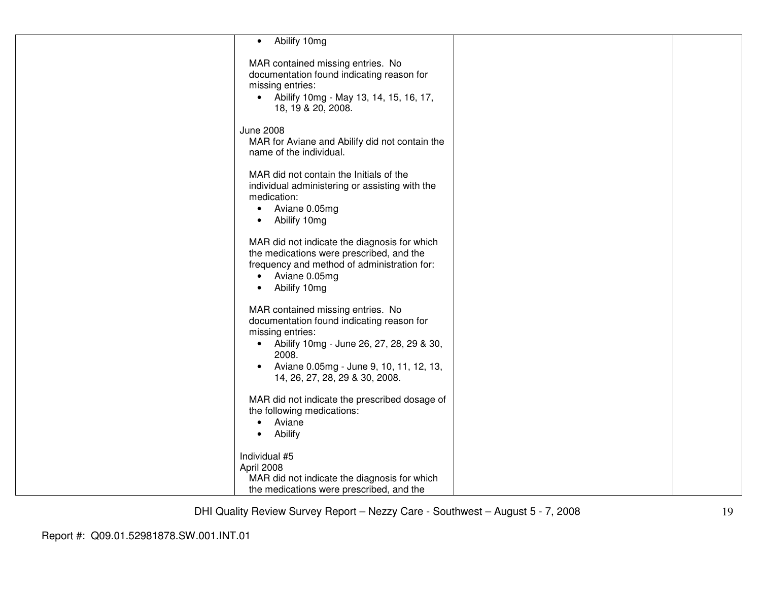| • Abilify 10mg                                                                                                                                                                                                                                                 |  |
|----------------------------------------------------------------------------------------------------------------------------------------------------------------------------------------------------------------------------------------------------------------|--|
| MAR contained missing entries. No<br>documentation found indicating reason for<br>missing entries:<br>• Abilify 10mg - May 13, 14, 15, 16, 17,<br>18, 19 & 20, 2008.                                                                                           |  |
| <b>June 2008</b><br>MAR for Aviane and Abilify did not contain the<br>name of the individual.                                                                                                                                                                  |  |
| MAR did not contain the Initials of the<br>individual administering or assisting with the<br>medication:<br>Aviane 0.05mg<br>$\bullet$<br>Abilify 10mg<br>$\bullet$                                                                                            |  |
| MAR did not indicate the diagnosis for which<br>the medications were prescribed, and the<br>frequency and method of administration for:<br>Aviane 0.05mg<br>$\bullet$<br>Abilify 10mg<br>$\bullet$                                                             |  |
| MAR contained missing entries. No<br>documentation found indicating reason for<br>missing entries:<br>Abilify 10mg - June 26, 27, 28, 29 & 30,<br>$\bullet$<br>2008.<br>Aviane 0.05mg - June 9, 10, 11, 12, 13,<br>$\bullet$<br>14, 26, 27, 28, 29 & 30, 2008. |  |
| MAR did not indicate the prescribed dosage of<br>the following medications:<br>Aviane<br>$\bullet$<br>Abilify<br>$\bullet$                                                                                                                                     |  |
| Individual #5<br>April 2008<br>MAR did not indicate the diagnosis for which<br>the medications were prescribed, and the                                                                                                                                        |  |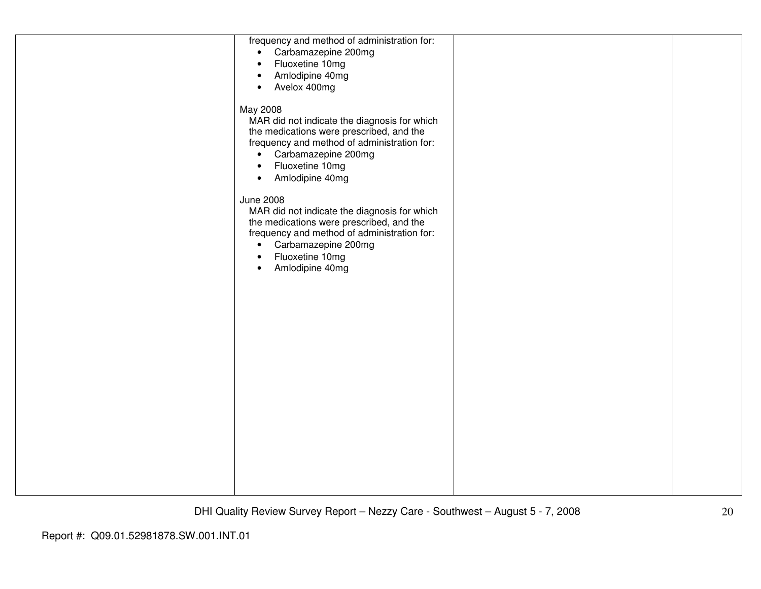| frequency and method of administration for:<br>• Carbamazepine 200mg<br>Fluoxetine 10mg<br>$\bullet$<br>Amlodipine 40mg<br>$\bullet$<br>Avelox 400mg<br>$\bullet$                                                                                               |  |
|-----------------------------------------------------------------------------------------------------------------------------------------------------------------------------------------------------------------------------------------------------------------|--|
| May 2008<br>MAR did not indicate the diagnosis for which<br>the medications were prescribed, and the<br>frequency and method of administration for:<br>Carbamazepine 200mg<br>$\bullet$<br>Fluoxetine 10mg<br>$\bullet$<br>Amlodipine 40mg<br>$\bullet$         |  |
| <b>June 2008</b><br>MAR did not indicate the diagnosis for which<br>the medications were prescribed, and the<br>frequency and method of administration for:<br>Carbamazepine 200mg<br>$\bullet$<br>Fluoxetine 10mg<br>$\bullet$<br>Amlodipine 40mg<br>$\bullet$ |  |
|                                                                                                                                                                                                                                                                 |  |
|                                                                                                                                                                                                                                                                 |  |
|                                                                                                                                                                                                                                                                 |  |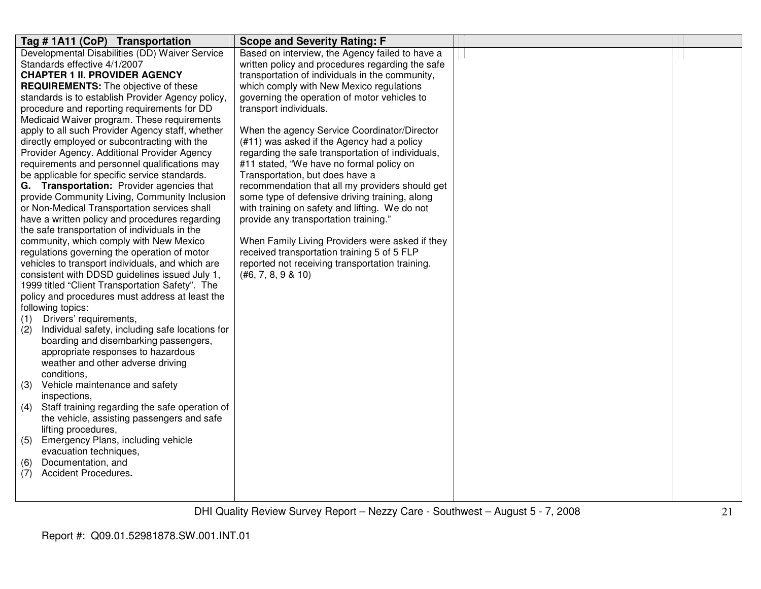| Tag # 1A11 (CoP) Transportation                                                                  | <b>Scope and Severity Rating: F</b>                                                            |  |
|--------------------------------------------------------------------------------------------------|------------------------------------------------------------------------------------------------|--|
| Developmental Disabilities (DD) Waiver Service                                                   | Based on interview, the Agency failed to have a                                                |  |
| Standards effective 4/1/2007                                                                     | written policy and procedures regarding the safe                                               |  |
| <b>CHAPTER 1 II. PROVIDER AGENCY</b>                                                             | transportation of individuals in the community,                                                |  |
| <b>REQUIREMENTS:</b> The objective of these                                                      | which comply with New Mexico regulations                                                       |  |
| standards is to establish Provider Agency policy,                                                | governing the operation of motor vehicles to                                                   |  |
| procedure and reporting requirements for DD                                                      | transport individuals.                                                                         |  |
| Medicaid Waiver program. These requirements                                                      |                                                                                                |  |
| apply to all such Provider Agency staff, whether                                                 | When the agency Service Coordinator/Director                                                   |  |
| directly employed or subcontracting with the                                                     | (#11) was asked if the Agency had a policy                                                     |  |
| Provider Agency. Additional Provider Agency                                                      | regarding the safe transportation of individuals,                                              |  |
| requirements and personnel qualifications may                                                    | #11 stated, "We have no formal policy on                                                       |  |
| be applicable for specific service standards.                                                    | Transportation, but does have a                                                                |  |
| G. Transportation: Provider agencies that                                                        | recommendation that all my providers should get                                                |  |
| provide Community Living, Community Inclusion                                                    | some type of defensive driving training, along                                                 |  |
| or Non-Medical Transportation services shall                                                     | with training on safety and lifting. We do not                                                 |  |
| have a written policy and procedures regarding                                                   | provide any transportation training."                                                          |  |
| the safe transportation of individuals in the                                                    |                                                                                                |  |
| community, which comply with New Mexico                                                          | When Family Living Providers were asked if they                                                |  |
| regulations governing the operation of motor<br>vehicles to transport individuals, and which are | received transportation training 5 of 5 FLP<br>reported not receiving transportation training. |  |
| consistent with DDSD guidelines issued July 1,                                                   | (#6, 7, 8, 9 & 10)                                                                             |  |
| 1999 titled "Client Transportation Safety". The                                                  |                                                                                                |  |
| policy and procedures must address at least the                                                  |                                                                                                |  |
| following topics:                                                                                |                                                                                                |  |
| Drivers' requirements,<br>(1)                                                                    |                                                                                                |  |
| Individual safety, including safe locations for<br>(2)                                           |                                                                                                |  |
| boarding and disembarking passengers,                                                            |                                                                                                |  |
| appropriate responses to hazardous                                                               |                                                                                                |  |
| weather and other adverse driving                                                                |                                                                                                |  |
| conditions,                                                                                      |                                                                                                |  |
| Vehicle maintenance and safety<br>(3)                                                            |                                                                                                |  |
| inspections,                                                                                     |                                                                                                |  |
| Staff training regarding the safe operation of<br>(4)                                            |                                                                                                |  |
| the vehicle, assisting passengers and safe                                                       |                                                                                                |  |
| lifting procedures,                                                                              |                                                                                                |  |
| Emergency Plans, including vehicle<br>(5)                                                        |                                                                                                |  |
| evacuation techniques,                                                                           |                                                                                                |  |
| Documentation, and<br>(6)                                                                        |                                                                                                |  |
| Accident Procedures.<br>(7)                                                                      |                                                                                                |  |
|                                                                                                  |                                                                                                |  |
|                                                                                                  |                                                                                                |  |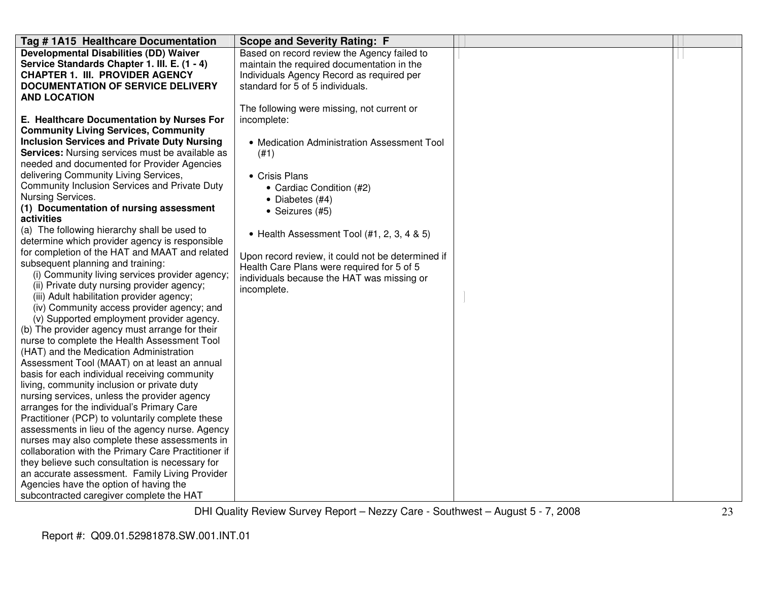| Tag # 1A15 Healthcare Documentation                          | <b>Scope and Severity Rating: F</b>               |  |
|--------------------------------------------------------------|---------------------------------------------------|--|
| <b>Developmental Disabilities (DD) Waiver</b>                | Based on record review the Agency failed to       |  |
| Service Standards Chapter 1. III. E. (1 - 4)                 | maintain the required documentation in the        |  |
| <b>CHAPTER 1. III. PROVIDER AGENCY</b>                       | Individuals Agency Record as required per         |  |
| <b>DOCUMENTATION OF SERVICE DELIVERY</b>                     | standard for 5 of 5 individuals.                  |  |
| <b>AND LOCATION</b>                                          |                                                   |  |
|                                                              | The following were missing, not current or        |  |
| E. Healthcare Documentation by Nurses For                    | incomplete:                                       |  |
| <b>Community Living Services, Community</b>                  |                                                   |  |
| <b>Inclusion Services and Private Duty Nursing</b>           | • Medication Administration Assessment Tool       |  |
| <b>Services:</b> Nursing services must be available as       | (#1)                                              |  |
| needed and documented for Provider Agencies                  |                                                   |  |
| delivering Community Living Services,                        | • Crisis Plans                                    |  |
| Community Inclusion Services and Private Duty                | • Cardiac Condition (#2)                          |  |
| Nursing Services.<br>(1) Documentation of nursing assessment | • Diabetes (#4)                                   |  |
| activities                                                   | · Seizures (#5)                                   |  |
| (a) The following hierarchy shall be used to                 |                                                   |  |
| determine which provider agency is responsible               | • Health Assessment Tool (#1, 2, 3, 4 & 5)        |  |
| for completion of the HAT and MAAT and related               |                                                   |  |
| subsequent planning and training:                            | Upon record review, it could not be determined if |  |
| (i) Community living services provider agency;               | Health Care Plans were required for 5 of 5        |  |
| (ii) Private duty nursing provider agency;                   | individuals because the HAT was missing or        |  |
| (iii) Adult habilitation provider agency;                    | incomplete.                                       |  |
| (iv) Community access provider agency; and                   |                                                   |  |
| (v) Supported employment provider agency.                    |                                                   |  |
| (b) The provider agency must arrange for their               |                                                   |  |
| nurse to complete the Health Assessment Tool                 |                                                   |  |
| (HAT) and the Medication Administration                      |                                                   |  |
| Assessment Tool (MAAT) on at least an annual                 |                                                   |  |
| basis for each individual receiving community                |                                                   |  |
| living, community inclusion or private duty                  |                                                   |  |
| nursing services, unless the provider agency                 |                                                   |  |
| arranges for the individual's Primary Care                   |                                                   |  |
| Practitioner (PCP) to voluntarily complete these             |                                                   |  |
| assessments in lieu of the agency nurse. Agency              |                                                   |  |
| nurses may also complete these assessments in                |                                                   |  |
| collaboration with the Primary Care Practitioner if          |                                                   |  |
| they believe such consultation is necessary for              |                                                   |  |
| an accurate assessment. Family Living Provider               |                                                   |  |
| Agencies have the option of having the                       |                                                   |  |
| subcontracted caregiver complete the HAT                     |                                                   |  |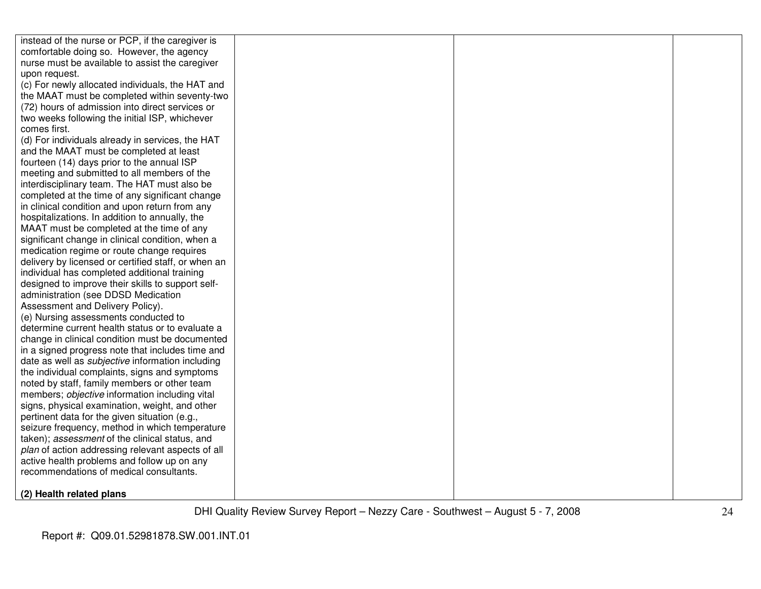| instead of the nurse or PCP, if the caregiver is        |  |  |
|---------------------------------------------------------|--|--|
| comfortable doing so. However, the agency               |  |  |
| nurse must be available to assist the caregiver         |  |  |
| upon request.                                           |  |  |
| (c) For newly allocated individuals, the HAT and        |  |  |
| the MAAT must be completed within seventy-two           |  |  |
| (72) hours of admission into direct services or         |  |  |
| two weeks following the initial ISP, whichever          |  |  |
| comes first.                                            |  |  |
| (d) For individuals already in services, the HAT        |  |  |
| and the MAAT must be completed at least                 |  |  |
| fourteen (14) days prior to the annual ISP              |  |  |
| meeting and submitted to all members of the             |  |  |
| interdisciplinary team. The HAT must also be            |  |  |
| completed at the time of any significant change         |  |  |
| in clinical condition and upon return from any          |  |  |
| hospitalizations. In addition to annually, the          |  |  |
| MAAT must be completed at the time of any               |  |  |
| significant change in clinical condition, when a        |  |  |
| medication regime or route change requires              |  |  |
| delivery by licensed or certified staff, or when an     |  |  |
| individual has completed additional training            |  |  |
| designed to improve their skills to support self-       |  |  |
| administration (see DDSD Medication                     |  |  |
| Assessment and Delivery Policy).                        |  |  |
| (e) Nursing assessments conducted to                    |  |  |
| determine current health status or to evaluate a        |  |  |
| change in clinical condition must be documented         |  |  |
| in a signed progress note that includes time and        |  |  |
| date as well as <i>subjective</i> information including |  |  |
| the individual complaints, signs and symptoms           |  |  |
| noted by staff, family members or other team            |  |  |
| members; objective information including vital          |  |  |
| signs, physical examination, weight, and other          |  |  |
| pertinent data for the given situation (e.g.,           |  |  |
| seizure frequency, method in which temperature          |  |  |
| taken); assessment of the clinical status, and          |  |  |
| plan of action addressing relevant aspects of all       |  |  |
| active health problems and follow up on any             |  |  |
| recommendations of medical consultants.                 |  |  |
| (2) Health related plans                                |  |  |
|                                                         |  |  |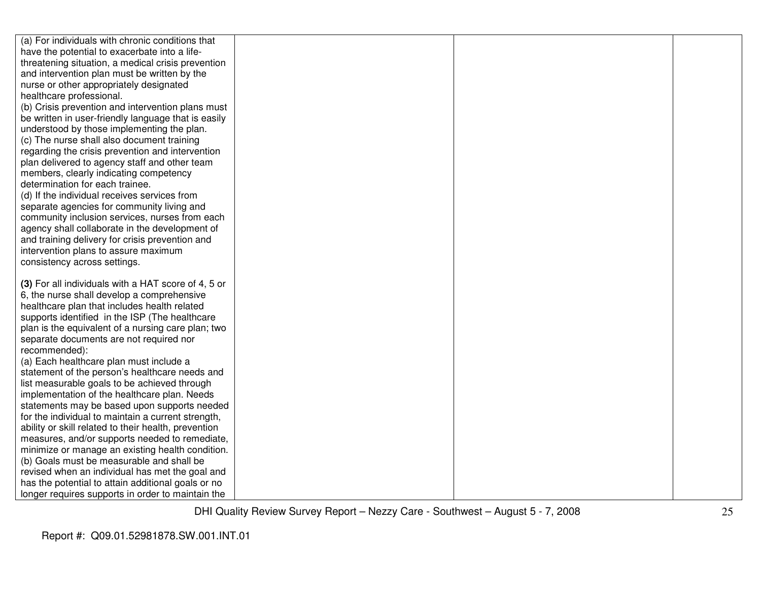| (a) For individuals with chronic conditions that     |  |  |
|------------------------------------------------------|--|--|
| have the potential to exacerbate into a life-        |  |  |
| threatening situation, a medical crisis prevention   |  |  |
| and intervention plan must be written by the         |  |  |
| nurse or other appropriately designated              |  |  |
| healthcare professional.                             |  |  |
| (b) Crisis prevention and intervention plans must    |  |  |
| be written in user-friendly language that is easily  |  |  |
| understood by those implementing the plan.           |  |  |
| (c) The nurse shall also document training           |  |  |
| regarding the crisis prevention and intervention     |  |  |
| plan delivered to agency staff and other team        |  |  |
| members, clearly indicating competency               |  |  |
| determination for each trainee.                      |  |  |
| (d) If the individual receives services from         |  |  |
| separate agencies for community living and           |  |  |
| community inclusion services, nurses from each       |  |  |
| agency shall collaborate in the development of       |  |  |
| and training delivery for crisis prevention and      |  |  |
| intervention plans to assure maximum                 |  |  |
| consistency across settings.                         |  |  |
|                                                      |  |  |
| (3) For all individuals with a HAT score of 4, 5 or  |  |  |
| 6, the nurse shall develop a comprehensive           |  |  |
| healthcare plan that includes health related         |  |  |
| supports identified in the ISP (The healthcare       |  |  |
| plan is the equivalent of a nursing care plan; two   |  |  |
| separate documents are not required nor              |  |  |
| recommended):                                        |  |  |
| (a) Each healthcare plan must include a              |  |  |
| statement of the person's healthcare needs and       |  |  |
| list measurable goals to be achieved through         |  |  |
| implementation of the healthcare plan. Needs         |  |  |
| statements may be based upon supports needed         |  |  |
| for the individual to maintain a current strength,   |  |  |
| ability or skill related to their health, prevention |  |  |
| measures, and/or supports needed to remediate,       |  |  |
| minimize or manage an existing health condition.     |  |  |
| (b) Goals must be measurable and shall be            |  |  |
| revised when an individual has met the goal and      |  |  |
| has the potential to attain additional goals or no   |  |  |
| longer requires supports in order to maintain the    |  |  |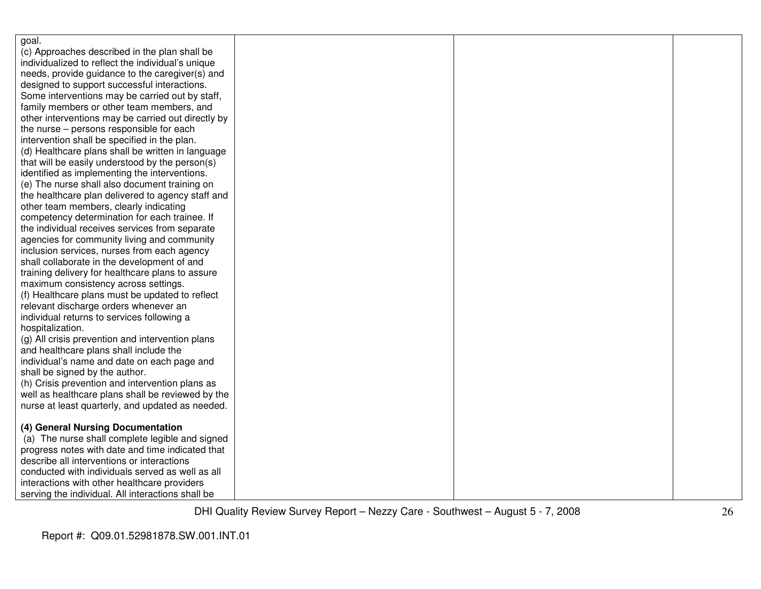| goal.                                              |  |  |
|----------------------------------------------------|--|--|
| (c) Approaches described in the plan shall be      |  |  |
| individualized to reflect the individual's unique  |  |  |
| needs, provide guidance to the caregiver(s) and    |  |  |
| designed to support successful interactions.       |  |  |
| Some interventions may be carried out by staff,    |  |  |
| family members or other team members, and          |  |  |
| other interventions may be carried out directly by |  |  |
| the nurse – persons responsible for each           |  |  |
| intervention shall be specified in the plan.       |  |  |
| (d) Healthcare plans shall be written in language  |  |  |
| that will be easily understood by the person(s)    |  |  |
| identified as implementing the interventions.      |  |  |
| (e) The nurse shall also document training on      |  |  |
| the healthcare plan delivered to agency staff and  |  |  |
| other team members, clearly indicating             |  |  |
| competency determination for each trainee. If      |  |  |
| the individual receives services from separate     |  |  |
| agencies for community living and community        |  |  |
| inclusion services, nurses from each agency        |  |  |
| shall collaborate in the development of and        |  |  |
| training delivery for healthcare plans to assure   |  |  |
| maximum consistency across settings.               |  |  |
| (f) Healthcare plans must be updated to reflect    |  |  |
| relevant discharge orders whenever an              |  |  |
| individual returns to services following a         |  |  |
| hospitalization.                                   |  |  |
| (g) All crisis prevention and intervention plans   |  |  |
| and healthcare plans shall include the             |  |  |
| individual's name and date on each page and        |  |  |
| shall be signed by the author.                     |  |  |
| (h) Crisis prevention and intervention plans as    |  |  |
| well as healthcare plans shall be reviewed by the  |  |  |
| nurse at least quarterly, and updated as needed.   |  |  |
|                                                    |  |  |
| (4) General Nursing Documentation                  |  |  |
| (a) The nurse shall complete legible and signed    |  |  |
| progress notes with date and time indicated that   |  |  |
| describe all interventions or interactions         |  |  |
| conducted with individuals served as well as all   |  |  |
| interactions with other healthcare providers       |  |  |
| serving the individual. All interactions shall be  |  |  |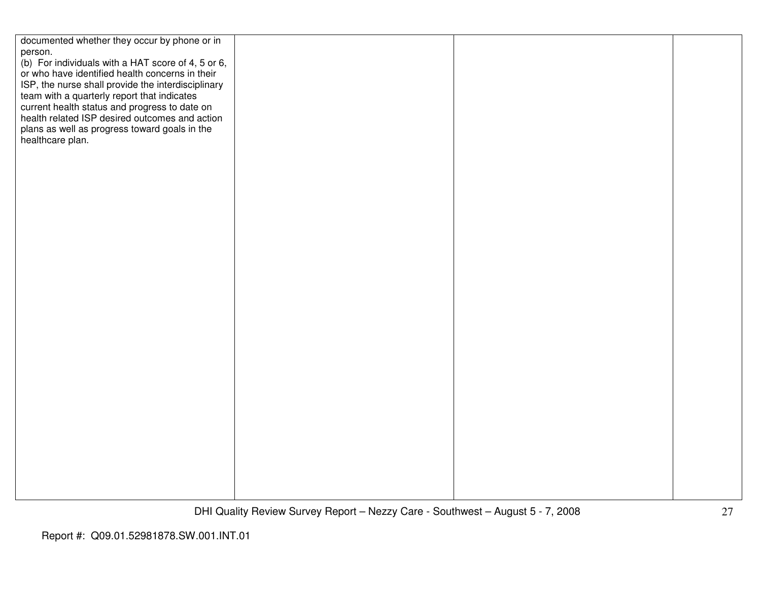| documented whether they occur by phone or in       |  |  |
|----------------------------------------------------|--|--|
| person.                                            |  |  |
|                                                    |  |  |
| (b) For individuals with a HAT score of 4, 5 or 6, |  |  |
| or who have identified health concerns in their    |  |  |
|                                                    |  |  |
| ISP, the nurse shall provide the interdisciplinary |  |  |
| team with a quarterly report that indicates        |  |  |
|                                                    |  |  |
| current health status and progress to date on      |  |  |
| health related ISP desired outcomes and action     |  |  |
| plans as well as progress toward goals in the      |  |  |
|                                                    |  |  |
| healthcare plan.                                   |  |  |
|                                                    |  |  |
|                                                    |  |  |
|                                                    |  |  |
|                                                    |  |  |
|                                                    |  |  |
|                                                    |  |  |
|                                                    |  |  |
|                                                    |  |  |
|                                                    |  |  |
|                                                    |  |  |
|                                                    |  |  |
|                                                    |  |  |
|                                                    |  |  |
|                                                    |  |  |
|                                                    |  |  |
|                                                    |  |  |
|                                                    |  |  |
|                                                    |  |  |
|                                                    |  |  |
|                                                    |  |  |
|                                                    |  |  |
|                                                    |  |  |
|                                                    |  |  |
|                                                    |  |  |
|                                                    |  |  |
|                                                    |  |  |
|                                                    |  |  |
|                                                    |  |  |
|                                                    |  |  |
|                                                    |  |  |
|                                                    |  |  |
|                                                    |  |  |
|                                                    |  |  |
|                                                    |  |  |
|                                                    |  |  |
|                                                    |  |  |
|                                                    |  |  |
|                                                    |  |  |
|                                                    |  |  |
|                                                    |  |  |
|                                                    |  |  |
|                                                    |  |  |
|                                                    |  |  |
|                                                    |  |  |
|                                                    |  |  |
|                                                    |  |  |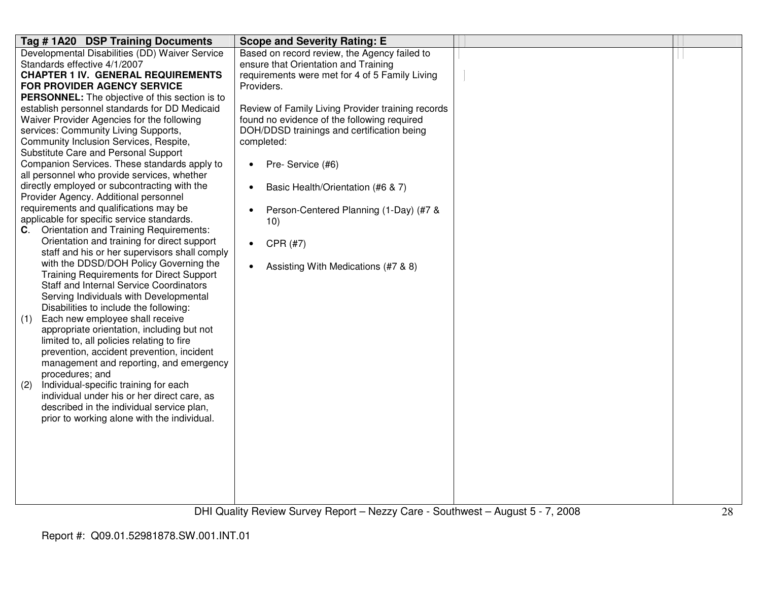| Tag #1A20 DSP Training Documents                                                            | <b>Scope and Severity Rating: E</b>               |  |
|---------------------------------------------------------------------------------------------|---------------------------------------------------|--|
| Developmental Disabilities (DD) Waiver Service                                              | Based on record review, the Agency failed to      |  |
| Standards effective 4/1/2007                                                                | ensure that Orientation and Training              |  |
| <b>CHAPTER 1 IV. GENERAL REQUIREMENTS</b>                                                   | requirements were met for 4 of 5 Family Living    |  |
| FOR PROVIDER AGENCY SERVICE                                                                 | Providers.                                        |  |
| <b>PERSONNEL:</b> The objective of this section is to                                       |                                                   |  |
| establish personnel standards for DD Medicaid                                               | Review of Family Living Provider training records |  |
| Waiver Provider Agencies for the following                                                  | found no evidence of the following required       |  |
| services: Community Living Supports,                                                        | DOH/DDSD trainings and certification being        |  |
| Community Inclusion Services, Respite,                                                      | completed:                                        |  |
| Substitute Care and Personal Support                                                        |                                                   |  |
| Companion Services. These standards apply to<br>all personnel who provide services, whether | Pre- Service (#6)<br>$\bullet$                    |  |
| directly employed or subcontracting with the                                                | Basic Health/Orientation (#6 & 7)<br>$\bullet$    |  |
| Provider Agency. Additional personnel                                                       |                                                   |  |
| requirements and qualifications may be                                                      | Person-Centered Planning (1-Day) (#7 &            |  |
| applicable for specific service standards.                                                  | 10)                                               |  |
| C. Orientation and Training Requirements:                                                   |                                                   |  |
| Orientation and training for direct support                                                 | CPR (#7)<br>$\bullet$                             |  |
| staff and his or her supervisors shall comply                                               |                                                   |  |
| with the DDSD/DOH Policy Governing the                                                      | Assisting With Medications (#7 & 8)<br>$\bullet$  |  |
| <b>Training Requirements for Direct Support</b>                                             |                                                   |  |
| <b>Staff and Internal Service Coordinators</b>                                              |                                                   |  |
| Serving Individuals with Developmental                                                      |                                                   |  |
| Disabilities to include the following:                                                      |                                                   |  |
| Each new employee shall receive<br>(1)                                                      |                                                   |  |
| appropriate orientation, including but not                                                  |                                                   |  |
| limited to, all policies relating to fire                                                   |                                                   |  |
| prevention, accident prevention, incident                                                   |                                                   |  |
| management and reporting, and emergency                                                     |                                                   |  |
| procedures; and                                                                             |                                                   |  |
| Individual-specific training for each<br>(2)                                                |                                                   |  |
| individual under his or her direct care, as                                                 |                                                   |  |
| described in the individual service plan,                                                   |                                                   |  |
| prior to working alone with the individual.                                                 |                                                   |  |
|                                                                                             |                                                   |  |
|                                                                                             |                                                   |  |
|                                                                                             |                                                   |  |
|                                                                                             |                                                   |  |
|                                                                                             |                                                   |  |
|                                                                                             |                                                   |  |
|                                                                                             |                                                   |  |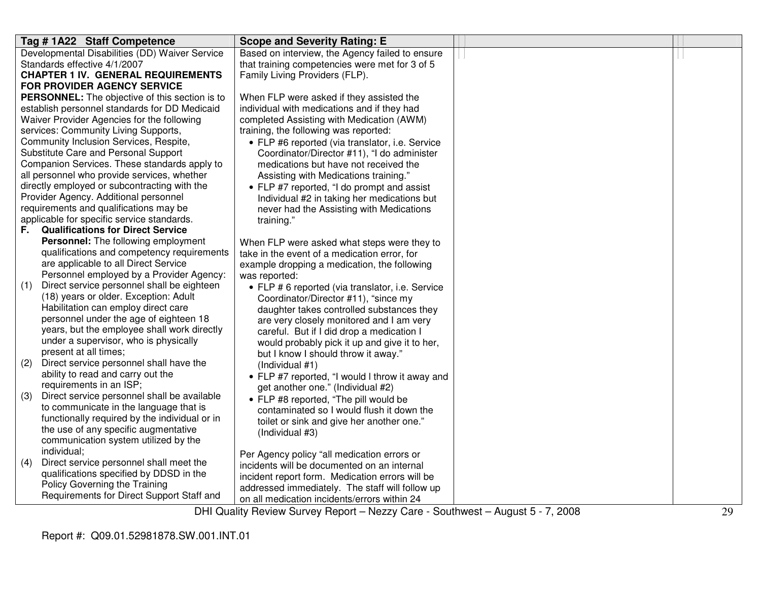| Tag #1A22 Staff Competence                                                          | <b>Scope and Severity Rating: E</b>                                 |                         |  |
|-------------------------------------------------------------------------------------|---------------------------------------------------------------------|-------------------------|--|
| Developmental Disabilities (DD) Waiver Service                                      | Based on interview, the Agency failed to ensure                     |                         |  |
| Standards effective 4/1/2007                                                        | that training competencies were met for 3 of 5                      |                         |  |
| <b>CHAPTER 1 IV. GENERAL REQUIREMENTS</b>                                           | Family Living Providers (FLP).                                      |                         |  |
| <b>FOR PROVIDER AGENCY SERVICE</b>                                                  |                                                                     |                         |  |
| <b>PERSONNEL:</b> The objective of this section is to                               | When FLP were asked if they assisted the                            |                         |  |
| establish personnel standards for DD Medicaid                                       | individual with medications and if they had                         |                         |  |
| Waiver Provider Agencies for the following                                          | completed Assisting with Medication (AWM)                           |                         |  |
| services: Community Living Supports,                                                | training, the following was reported:                               |                         |  |
| Community Inclusion Services, Respite,                                              | • FLP #6 reported (via translator, i.e. Service                     |                         |  |
| Substitute Care and Personal Support                                                | Coordinator/Director #11), "I do administer                         |                         |  |
| Companion Services. These standards apply to                                        | medications but have not received the                               |                         |  |
| all personnel who provide services, whether                                         | Assisting with Medications training."                               |                         |  |
| directly employed or subcontracting with the                                        | • FLP #7 reported, "I do prompt and assist                          |                         |  |
| Provider Agency. Additional personnel                                               | Individual #2 in taking her medications but                         |                         |  |
| requirements and qualifications may be                                              | never had the Assisting with Medications                            |                         |  |
| applicable for specific service standards.                                          | training."                                                          |                         |  |
| <b>Qualifications for Direct Service</b><br>F.                                      |                                                                     |                         |  |
| Personnel: The following employment                                                 | When FLP were asked what steps were they to                         |                         |  |
| qualifications and competency requirements                                          | take in the event of a medication error, for                        |                         |  |
| are applicable to all Direct Service                                                | example dropping a medication, the following                        |                         |  |
| Personnel employed by a Provider Agency:                                            | was reported:                                                       |                         |  |
| Direct service personnel shall be eighteen<br>(1)                                   | • FLP # 6 reported (via translator, i.e. Service                    |                         |  |
| (18) years or older. Exception: Adult                                               | Coordinator/Director #11), "since my                                |                         |  |
| Habilitation can employ direct care                                                 | daughter takes controlled substances they                           |                         |  |
| personnel under the age of eighteen 18                                              | are very closely monitored and I am very                            |                         |  |
| years, but the employee shall work directly                                         | careful. But if I did drop a medication I                           |                         |  |
| under a supervisor, who is physically                                               | would probably pick it up and give it to her,                       |                         |  |
| present at all times;                                                               | but I know I should throw it away."                                 |                         |  |
| Direct service personnel shall have the<br>(2)<br>ability to read and carry out the | (Individual #1)                                                     |                         |  |
| requirements in an ISP;                                                             | • FLP #7 reported, "I would I throw it away and                     |                         |  |
| Direct service personnel shall be available<br>(3)                                  | get another one." (Individual #2)                                   |                         |  |
| to communicate in the language that is                                              | • FLP #8 reported, "The pill would be                               |                         |  |
| functionally required by the individual or in                                       | contaminated so I would flush it down the                           |                         |  |
| the use of any specific augmentative                                                | toilet or sink and give her another one."                           |                         |  |
| communication system utilized by the                                                | (Individual #3)                                                     |                         |  |
| individual;                                                                         |                                                                     |                         |  |
| Direct service personnel shall meet the<br>(4)                                      | Per Agency policy "all medication errors or                         |                         |  |
| qualifications specified by DDSD in the                                             | incidents will be documented on an internal                         |                         |  |
| Policy Governing the Training                                                       | incident report form. Medication errors will be                     |                         |  |
| Requirements for Direct Support Staff and                                           | addressed immediately. The staff will follow up                     |                         |  |
|                                                                                     | on all medication incidents/errors within 24<br>$\bigcap$ $\bigcup$ | 7.000<br>$\overline{r}$ |  |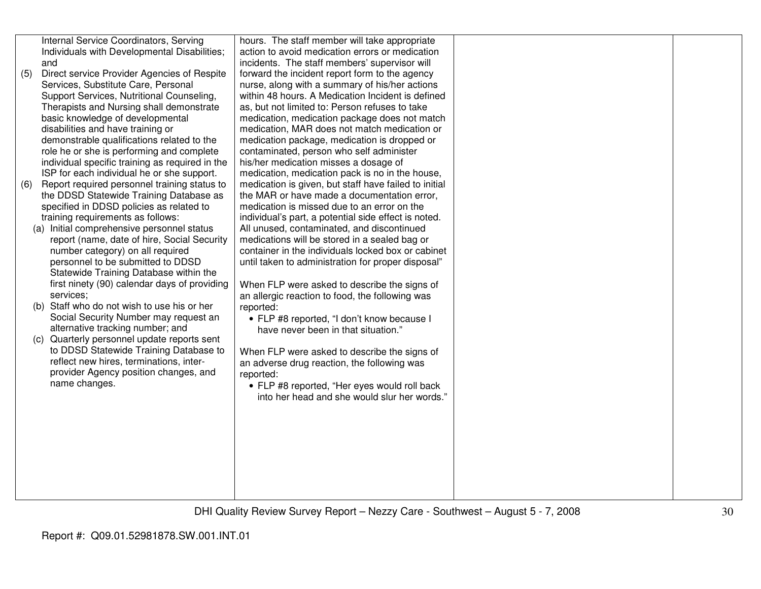| (5) | Internal Service Coordinators, Serving<br>Individuals with Developmental Disabilities;<br>and<br>Direct service Provider Agencies of Respite<br>Services, Substitute Care, Personal<br>Support Services, Nutritional Counseling,<br>Therapists and Nursing shall demonstrate<br>basic knowledge of developmental                                                                                                                                                                                                                                                                                                                                                                                                                                                                                                                                                                                                                                                                                | hours. The staff member will take appropriate<br>action to avoid medication errors or medication<br>incidents. The staff members' supervisor will<br>forward the incident report form to the agency<br>nurse, along with a summary of his/her actions<br>within 48 hours. A Medication Incident is defined<br>as, but not limited to: Person refuses to take<br>medication, medication package does not match                                                                                                                                                                                                                                                                                                                                                                                                                                                                                                                                                      |  |
|-----|-------------------------------------------------------------------------------------------------------------------------------------------------------------------------------------------------------------------------------------------------------------------------------------------------------------------------------------------------------------------------------------------------------------------------------------------------------------------------------------------------------------------------------------------------------------------------------------------------------------------------------------------------------------------------------------------------------------------------------------------------------------------------------------------------------------------------------------------------------------------------------------------------------------------------------------------------------------------------------------------------|--------------------------------------------------------------------------------------------------------------------------------------------------------------------------------------------------------------------------------------------------------------------------------------------------------------------------------------------------------------------------------------------------------------------------------------------------------------------------------------------------------------------------------------------------------------------------------------------------------------------------------------------------------------------------------------------------------------------------------------------------------------------------------------------------------------------------------------------------------------------------------------------------------------------------------------------------------------------|--|
| (6) | disabilities and have training or<br>demonstrable qualifications related to the<br>role he or she is performing and complete<br>individual specific training as required in the<br>ISP for each individual he or she support.<br>Report required personnel training status to<br>the DDSD Statewide Training Database as<br>specified in DDSD policies as related to<br>training requirements as follows:<br>(a) Initial comprehensive personnel status<br>report (name, date of hire, Social Security<br>number category) on all required<br>personnel to be submitted to DDSD<br>Statewide Training Database within the<br>first ninety (90) calendar days of providing<br>services;<br>(b) Staff who do not wish to use his or her<br>Social Security Number may request an<br>alternative tracking number; and<br>(c) Quarterly personnel update reports sent<br>to DDSD Statewide Training Database to<br>reflect new hires, terminations, inter-<br>provider Agency position changes, and | medication, MAR does not match medication or<br>medication package, medication is dropped or<br>contaminated, person who self administer<br>his/her medication misses a dosage of<br>medication, medication pack is no in the house,<br>medication is given, but staff have failed to initial<br>the MAR or have made a documentation error,<br>medication is missed due to an error on the<br>individual's part, a potential side effect is noted.<br>All unused, contaminated, and discontinued<br>medications will be stored in a sealed bag or<br>container in the individuals locked box or cabinet<br>until taken to administration for proper disposal"<br>When FLP were asked to describe the signs of<br>an allergic reaction to food, the following was<br>reported:<br>• FLP #8 reported, "I don't know because I<br>have never been in that situation."<br>When FLP were asked to describe the signs of<br>an adverse drug reaction, the following was |  |
|     | name changes.                                                                                                                                                                                                                                                                                                                                                                                                                                                                                                                                                                                                                                                                                                                                                                                                                                                                                                                                                                                   | reported:<br>• FLP #8 reported, "Her eyes would roll back<br>into her head and she would slur her words."                                                                                                                                                                                                                                                                                                                                                                                                                                                                                                                                                                                                                                                                                                                                                                                                                                                          |  |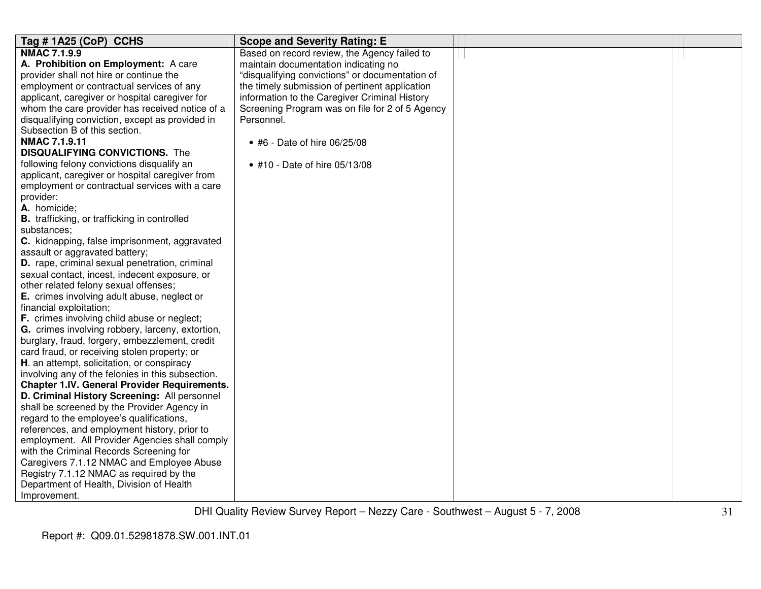| Tag #1A25 (CoP) CCHS                                | <b>Scope and Severity Rating: E</b>             |  |
|-----------------------------------------------------|-------------------------------------------------|--|
| <b>NMAC 7.1.9.9</b>                                 | Based on record review, the Agency failed to    |  |
| A. Prohibition on Employment: A care                | maintain documentation indicating no            |  |
| provider shall not hire or continue the             | "disqualifying convictions" or documentation of |  |
| employment or contractual services of any           | the timely submission of pertinent application  |  |
| applicant, caregiver or hospital caregiver for      | information to the Caregiver Criminal History   |  |
| whom the care provider has received notice of a     | Screening Program was on file for 2 of 5 Agency |  |
| disqualifying conviction, except as provided in     | Personnel.                                      |  |
| Subsection B of this section.                       |                                                 |  |
| <b>NMAC 7.1.9.11</b>                                | • #6 - Date of hire 06/25/08                    |  |
| <b>DISQUALIFYING CONVICTIONS.</b> The               |                                                 |  |
| following felony convictions disqualify an          | • #10 - Date of hire 05/13/08                   |  |
| applicant, caregiver or hospital caregiver from     |                                                 |  |
| employment or contractual services with a care      |                                                 |  |
| provider:                                           |                                                 |  |
| A. homicide;                                        |                                                 |  |
| <b>B.</b> trafficking, or trafficking in controlled |                                                 |  |
| substances:                                         |                                                 |  |
| C. kidnapping, false imprisonment, aggravated       |                                                 |  |
| assault or aggravated battery;                      |                                                 |  |
| D. rape, criminal sexual penetration, criminal      |                                                 |  |
| sexual contact, incest, indecent exposure, or       |                                                 |  |
| other related felony sexual offenses;               |                                                 |  |
| E. crimes involving adult abuse, neglect or         |                                                 |  |
| financial exploitation;                             |                                                 |  |
| F. crimes involving child abuse or neglect;         |                                                 |  |
| G. crimes involving robbery, larceny, extortion,    |                                                 |  |
| burglary, fraud, forgery, embezzlement, credit      |                                                 |  |
| card fraud, or receiving stolen property; or        |                                                 |  |
| H. an attempt, solicitation, or conspiracy          |                                                 |  |
| involving any of the felonies in this subsection.   |                                                 |  |
| <b>Chapter 1.IV. General Provider Requirements.</b> |                                                 |  |
| D. Criminal History Screening: All personnel        |                                                 |  |
| shall be screened by the Provider Agency in         |                                                 |  |
| regard to the employee's qualifications,            |                                                 |  |
| references, and employment history, prior to        |                                                 |  |
| employment. All Provider Agencies shall comply      |                                                 |  |
| with the Criminal Records Screening for             |                                                 |  |
| Caregivers 7.1.12 NMAC and Employee Abuse           |                                                 |  |
| Registry 7.1.12 NMAC as required by the             |                                                 |  |
| Department of Health, Division of Health            |                                                 |  |
| Improvement.                                        |                                                 |  |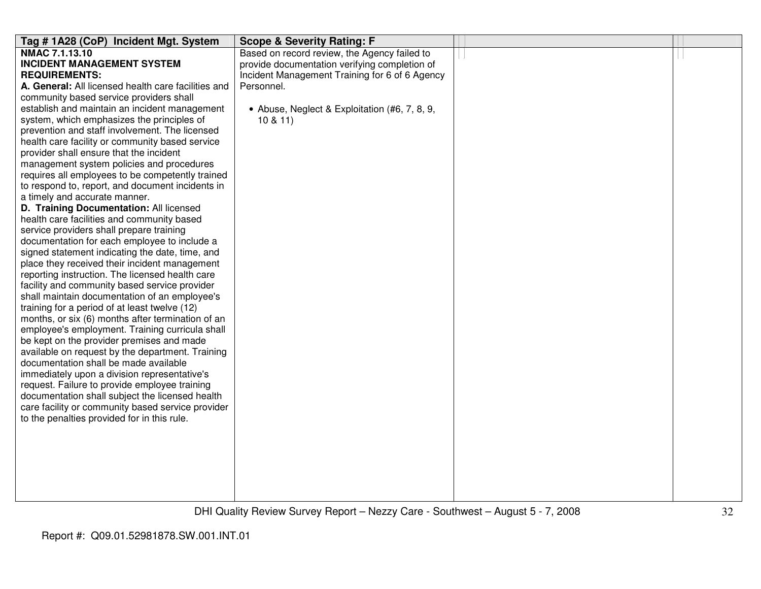| Tag #1A28 (CoP) Incident Mgt. System                | <b>Scope &amp; Severity Rating: F</b>          |  |
|-----------------------------------------------------|------------------------------------------------|--|
| NMAC 7.1.13.10                                      | Based on record review, the Agency failed to   |  |
| <b>INCIDENT MANAGEMENT SYSTEM</b>                   | provide documentation verifying completion of  |  |
| <b>REQUIREMENTS:</b>                                | Incident Management Training for 6 of 6 Agency |  |
| A. General: All licensed health care facilities and | Personnel.                                     |  |
| community based service providers shall             |                                                |  |
| establish and maintain an incident management       | • Abuse, Neglect & Exploitation (#6, 7, 8, 9,  |  |
| system, which emphasizes the principles of          | 10 & 11                                        |  |
| prevention and staff involvement. The licensed      |                                                |  |
| health care facility or community based service     |                                                |  |
| provider shall ensure that the incident             |                                                |  |
| management system policies and procedures           |                                                |  |
| requires all employees to be competently trained    |                                                |  |
| to respond to, report, and document incidents in    |                                                |  |
| a timely and accurate manner.                       |                                                |  |
| D. Training Documentation: All licensed             |                                                |  |
| health care facilities and community based          |                                                |  |
| service providers shall prepare training            |                                                |  |
| documentation for each employee to include a        |                                                |  |
| signed statement indicating the date, time, and     |                                                |  |
| place they received their incident management       |                                                |  |
| reporting instruction. The licensed health care     |                                                |  |
| facility and community based service provider       |                                                |  |
| shall maintain documentation of an employee's       |                                                |  |
| training for a period of at least twelve (12)       |                                                |  |
| months, or six (6) months after termination of an   |                                                |  |
| employee's employment. Training curricula shall     |                                                |  |
| be kept on the provider premises and made           |                                                |  |
| available on request by the department. Training    |                                                |  |
| documentation shall be made available               |                                                |  |
| immediately upon a division representative's        |                                                |  |
| request. Failure to provide employee training       |                                                |  |
| documentation shall subject the licensed health     |                                                |  |
| care facility or community based service provider   |                                                |  |
| to the penalties provided for in this rule.         |                                                |  |
|                                                     |                                                |  |
|                                                     |                                                |  |
|                                                     |                                                |  |
|                                                     |                                                |  |
|                                                     |                                                |  |
|                                                     |                                                |  |
|                                                     |                                                |  |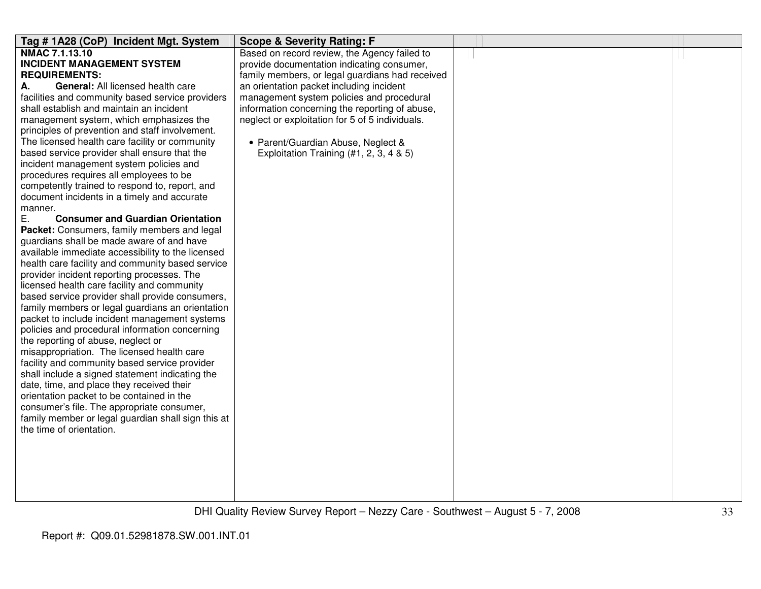| Tag # 1A28 (CoP) Incident Mgt. System              | <b>Scope &amp; Severity Rating: F</b>           |  |
|----------------------------------------------------|-------------------------------------------------|--|
| NMAC 7.1.13.10                                     | Based on record review, the Agency failed to    |  |
| <b>INCIDENT MANAGEMENT SYSTEM</b>                  | provide documentation indicating consumer,      |  |
| <b>REQUIREMENTS:</b>                               | family members, or legal guardians had received |  |
| General: All licensed health care<br>А.            | an orientation packet including incident        |  |
| facilities and community based service providers   | management system policies and procedural       |  |
| shall establish and maintain an incident           | information concerning the reporting of abuse,  |  |
| management system, which emphasizes the            | neglect or exploitation for 5 of 5 individuals. |  |
| principles of prevention and staff involvement.    |                                                 |  |
| The licensed health care facility or community     | • Parent/Guardian Abuse, Neglect &              |  |
| based service provider shall ensure that the       | Exploitation Training $(#1, 2, 3, 4 & 5)$       |  |
| incident management system policies and            |                                                 |  |
| procedures requires all employees to be            |                                                 |  |
| competently trained to respond to, report, and     |                                                 |  |
| document incidents in a timely and accurate        |                                                 |  |
| manner.                                            |                                                 |  |
| Ε.<br><b>Consumer and Guardian Orientation</b>     |                                                 |  |
| Packet: Consumers, family members and legal        |                                                 |  |
| guardians shall be made aware of and have          |                                                 |  |
| available immediate accessibility to the licensed  |                                                 |  |
| health care facility and community based service   |                                                 |  |
| provider incident reporting processes. The         |                                                 |  |
| licensed health care facility and community        |                                                 |  |
| based service provider shall provide consumers,    |                                                 |  |
| family members or legal guardians an orientation   |                                                 |  |
| packet to include incident management systems      |                                                 |  |
| policies and procedural information concerning     |                                                 |  |
| the reporting of abuse, neglect or                 |                                                 |  |
| misappropriation. The licensed health care         |                                                 |  |
| facility and community based service provider      |                                                 |  |
| shall include a signed statement indicating the    |                                                 |  |
| date, time, and place they received their          |                                                 |  |
| orientation packet to be contained in the          |                                                 |  |
| consumer's file. The appropriate consumer,         |                                                 |  |
| family member or legal guardian shall sign this at |                                                 |  |
| the time of orientation.                           |                                                 |  |
|                                                    |                                                 |  |
|                                                    |                                                 |  |
|                                                    |                                                 |  |
|                                                    |                                                 |  |
|                                                    |                                                 |  |
|                                                    |                                                 |  |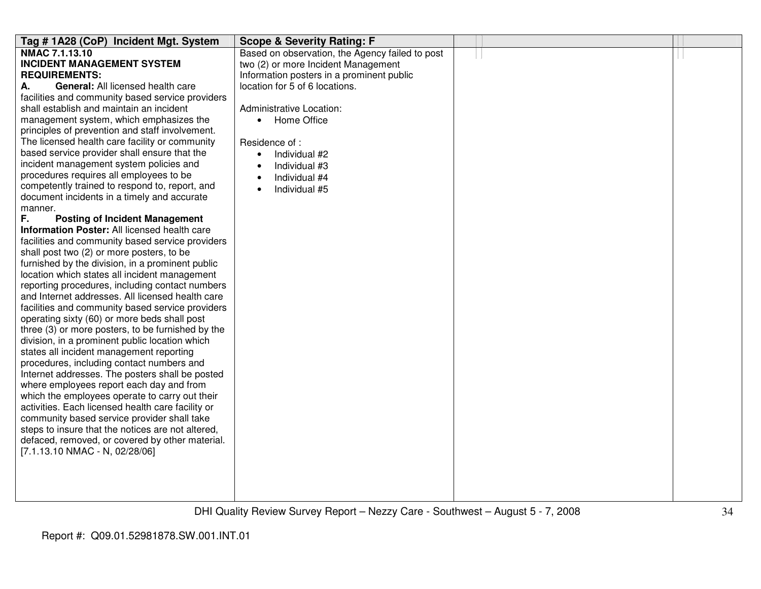| NMAC 7.1.13.10<br>Based on observation, the Agency failed to post<br><b>INCIDENT MANAGEMENT SYSTEM</b><br>two (2) or more Incident Management<br><b>REQUIREMENTS:</b><br>Information posters in a prominent public<br>General: All licensed health care<br>location for 5 of 6 locations.<br>А.<br>facilities and community based service providers<br>shall establish and maintain an incident<br>Administrative Location: |
|-----------------------------------------------------------------------------------------------------------------------------------------------------------------------------------------------------------------------------------------------------------------------------------------------------------------------------------------------------------------------------------------------------------------------------|
|                                                                                                                                                                                                                                                                                                                                                                                                                             |
|                                                                                                                                                                                                                                                                                                                                                                                                                             |
|                                                                                                                                                                                                                                                                                                                                                                                                                             |
|                                                                                                                                                                                                                                                                                                                                                                                                                             |
|                                                                                                                                                                                                                                                                                                                                                                                                                             |
|                                                                                                                                                                                                                                                                                                                                                                                                                             |
| management system, which emphasizes the<br>Home Office<br>$\bullet$                                                                                                                                                                                                                                                                                                                                                         |
| principles of prevention and staff involvement.                                                                                                                                                                                                                                                                                                                                                                             |
| The licensed health care facility or community<br>Residence of:                                                                                                                                                                                                                                                                                                                                                             |
| based service provider shall ensure that the<br>Individual #2<br>$\bullet$                                                                                                                                                                                                                                                                                                                                                  |
| incident management system policies and<br>Individual #3                                                                                                                                                                                                                                                                                                                                                                    |
| procedures requires all employees to be<br>Individual #4                                                                                                                                                                                                                                                                                                                                                                    |
| competently trained to respond to, report, and<br>Individual #5                                                                                                                                                                                                                                                                                                                                                             |
| document incidents in a timely and accurate                                                                                                                                                                                                                                                                                                                                                                                 |
| manner.                                                                                                                                                                                                                                                                                                                                                                                                                     |
| F.<br><b>Posting of Incident Management</b>                                                                                                                                                                                                                                                                                                                                                                                 |
| Information Poster: All licensed health care                                                                                                                                                                                                                                                                                                                                                                                |
| facilities and community based service providers                                                                                                                                                                                                                                                                                                                                                                            |
| shall post two (2) or more posters, to be                                                                                                                                                                                                                                                                                                                                                                                   |
| furnished by the division, in a prominent public                                                                                                                                                                                                                                                                                                                                                                            |
| location which states all incident management                                                                                                                                                                                                                                                                                                                                                                               |
| reporting procedures, including contact numbers                                                                                                                                                                                                                                                                                                                                                                             |
| and Internet addresses. All licensed health care                                                                                                                                                                                                                                                                                                                                                                            |
| facilities and community based service providers                                                                                                                                                                                                                                                                                                                                                                            |
| operating sixty (60) or more beds shall post                                                                                                                                                                                                                                                                                                                                                                                |
| three (3) or more posters, to be furnished by the                                                                                                                                                                                                                                                                                                                                                                           |
| division, in a prominent public location which                                                                                                                                                                                                                                                                                                                                                                              |
| states all incident management reporting                                                                                                                                                                                                                                                                                                                                                                                    |
| procedures, including contact numbers and                                                                                                                                                                                                                                                                                                                                                                                   |
| Internet addresses. The posters shall be posted                                                                                                                                                                                                                                                                                                                                                                             |
| where employees report each day and from                                                                                                                                                                                                                                                                                                                                                                                    |
| which the employees operate to carry out their                                                                                                                                                                                                                                                                                                                                                                              |
| activities. Each licensed health care facility or                                                                                                                                                                                                                                                                                                                                                                           |
| community based service provider shall take                                                                                                                                                                                                                                                                                                                                                                                 |
| steps to insure that the notices are not altered,                                                                                                                                                                                                                                                                                                                                                                           |
| defaced, removed, or covered by other material.                                                                                                                                                                                                                                                                                                                                                                             |
| [7.1.13.10 NMAC - N, 02/28/06]                                                                                                                                                                                                                                                                                                                                                                                              |
|                                                                                                                                                                                                                                                                                                                                                                                                                             |
|                                                                                                                                                                                                                                                                                                                                                                                                                             |
|                                                                                                                                                                                                                                                                                                                                                                                                                             |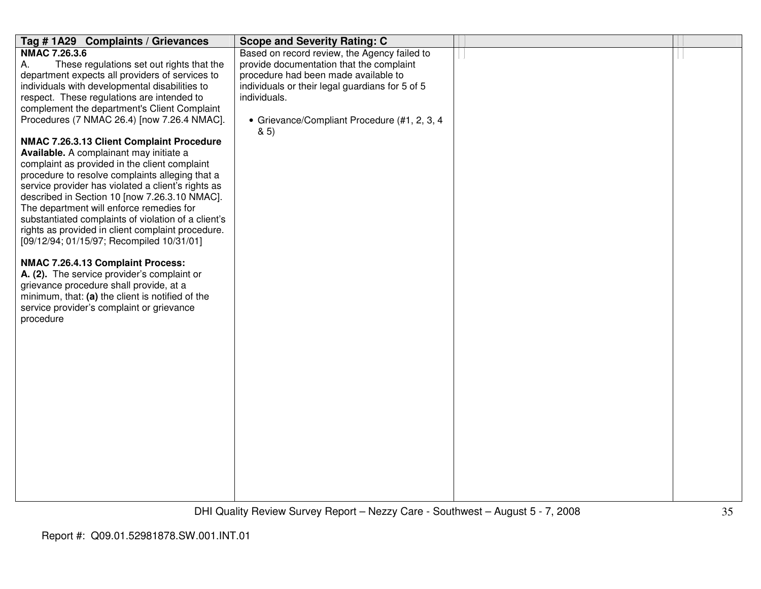| Tag #1A29 Complaints / Grievances                   | <b>Scope and Severity Rating: C</b>                 |  |
|-----------------------------------------------------|-----------------------------------------------------|--|
| <b>NMAC 7.26.3.6</b>                                | Based on record review, the Agency failed to        |  |
| А.<br>These regulations set out rights that the     | provide documentation that the complaint            |  |
| department expects all providers of services to     | procedure had been made available to                |  |
| individuals with developmental disabilities to      | individuals or their legal guardians for 5 of 5     |  |
| respect. These regulations are intended to          | individuals.                                        |  |
| complement the department's Client Complaint        |                                                     |  |
| Procedures (7 NMAC 26.4) [now 7.26.4 NMAC].         | • Grievance/Compliant Procedure (#1, 2, 3, 4<br>85) |  |
| NMAC 7.26.3.13 Client Complaint Procedure           |                                                     |  |
| Available. A complainant may initiate a             |                                                     |  |
| complaint as provided in the client complaint       |                                                     |  |
| procedure to resolve complaints alleging that a     |                                                     |  |
| service provider has violated a client's rights as  |                                                     |  |
| described in Section 10 [now 7.26.3.10 NMAC].       |                                                     |  |
| The department will enforce remedies for            |                                                     |  |
| substantiated complaints of violation of a client's |                                                     |  |
| rights as provided in client complaint procedure.   |                                                     |  |
| [09/12/94; 01/15/97; Recompiled 10/31/01]           |                                                     |  |
| NMAC 7.26.4.13 Complaint Process:                   |                                                     |  |
| A. (2). The service provider's complaint or         |                                                     |  |
| grievance procedure shall provide, at a             |                                                     |  |
| minimum, that: (a) the client is notified of the    |                                                     |  |
| service provider's complaint or grievance           |                                                     |  |
| procedure                                           |                                                     |  |
|                                                     |                                                     |  |
|                                                     |                                                     |  |
|                                                     |                                                     |  |
|                                                     |                                                     |  |
|                                                     |                                                     |  |
|                                                     |                                                     |  |
|                                                     |                                                     |  |
|                                                     |                                                     |  |
|                                                     |                                                     |  |
|                                                     |                                                     |  |
|                                                     |                                                     |  |
|                                                     |                                                     |  |
|                                                     |                                                     |  |
|                                                     |                                                     |  |
|                                                     |                                                     |  |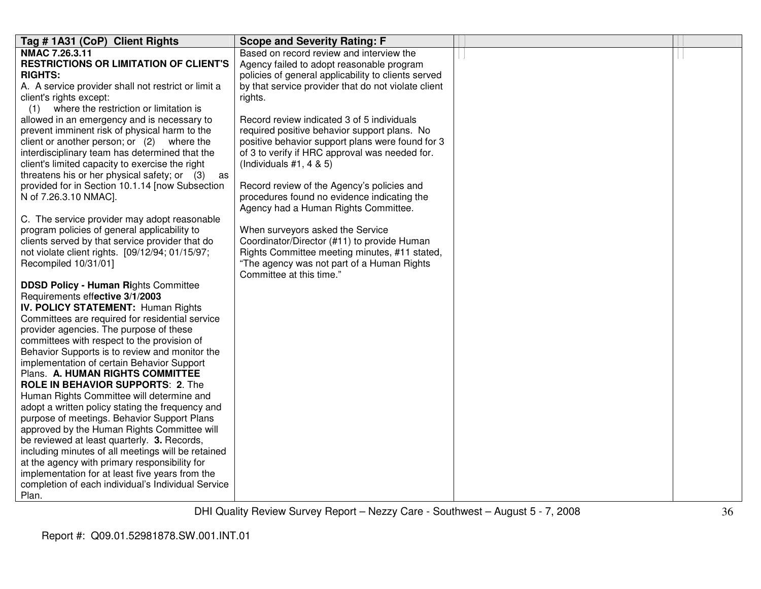| Tag # 1A31 (CoP) Client Rights                                                             | <b>Scope and Severity Rating: F</b>                 |  |
|--------------------------------------------------------------------------------------------|-----------------------------------------------------|--|
| NMAC 7.26.3.11                                                                             | Based on record review and interview the            |  |
| <b>RESTRICTIONS OR LIMITATION OF CLIENT'S</b>                                              | Agency failed to adopt reasonable program           |  |
| <b>RIGHTS:</b>                                                                             | policies of general applicability to clients served |  |
| A. A service provider shall not restrict or limit a                                        | by that service provider that do not violate client |  |
| client's rights except:                                                                    | rights.                                             |  |
| where the restriction or limitation is<br>(1)                                              |                                                     |  |
| allowed in an emergency and is necessary to                                                | Record review indicated 3 of 5 individuals          |  |
| prevent imminent risk of physical harm to the                                              | required positive behavior support plans. No        |  |
| client or another person; or (2) where the                                                 | positive behavior support plans were found for 3    |  |
| interdisciplinary team has determined that the                                             | of 3 to verify if HRC approval was needed for.      |  |
| client's limited capacity to exercise the right                                            | (Individuals $#1, 4 & 5$ )                          |  |
| threatens his or her physical safety; or (3)<br>as                                         |                                                     |  |
| provided for in Section 10.1.14 [now Subsection                                            | Record review of the Agency's policies and          |  |
| N of 7.26.3.10 NMAC].                                                                      | procedures found no evidence indicating the         |  |
|                                                                                            | Agency had a Human Rights Committee.                |  |
| C. The service provider may adopt reasonable                                               |                                                     |  |
| program policies of general applicability to                                               | When surveyors asked the Service                    |  |
| clients served by that service provider that do                                            | Coordinator/Director (#11) to provide Human         |  |
| not violate client rights. [09/12/94; 01/15/97;                                            | Rights Committee meeting minutes, #11 stated,       |  |
| Recompiled 10/31/01]                                                                       | "The agency was not part of a Human Rights          |  |
|                                                                                            | Committee at this time."                            |  |
| <b>DDSD Policy - Human Rights Committee</b>                                                |                                                     |  |
| Requirements effective 3/1/2003                                                            |                                                     |  |
| <b>IV. POLICY STATEMENT: Human Rights</b>                                                  |                                                     |  |
| Committees are required for residential service                                            |                                                     |  |
| provider agencies. The purpose of these                                                    |                                                     |  |
| committees with respect to the provision of                                                |                                                     |  |
| Behavior Supports is to review and monitor the                                             |                                                     |  |
| implementation of certain Behavior Support                                                 |                                                     |  |
| Plans. A. HUMAN RIGHTS COMMITTEE                                                           |                                                     |  |
| <b>ROLE IN BEHAVIOR SUPPORTS: 2. The</b>                                                   |                                                     |  |
| Human Rights Committee will determine and                                                  |                                                     |  |
| adopt a written policy stating the frequency and                                           |                                                     |  |
| purpose of meetings. Behavior Support Plans<br>approved by the Human Rights Committee will |                                                     |  |
| be reviewed at least quarterly. 3. Records,                                                |                                                     |  |
| including minutes of all meetings will be retained                                         |                                                     |  |
| at the agency with primary responsibility for                                              |                                                     |  |
| implementation for at least five years from the                                            |                                                     |  |
| completion of each individual's Individual Service                                         |                                                     |  |
| Plan.                                                                                      |                                                     |  |
|                                                                                            |                                                     |  |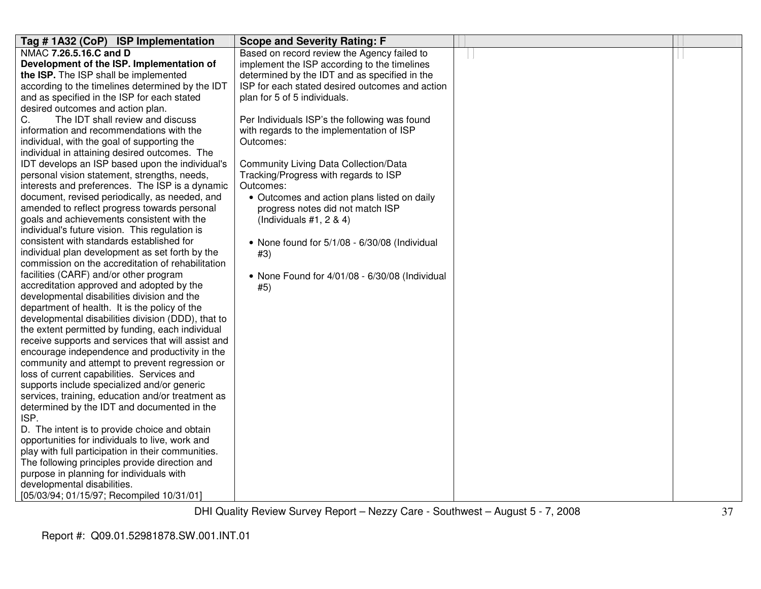| Tag # 1A32 (CoP) ISP Implementation                                                                    | <b>Scope and Severity Rating: F</b>             |  |
|--------------------------------------------------------------------------------------------------------|-------------------------------------------------|--|
| NMAC 7.26.5.16.C and D                                                                                 | Based on record review the Agency failed to     |  |
| Development of the ISP. Implementation of                                                              | implement the ISP according to the timelines    |  |
| the ISP. The ISP shall be implemented                                                                  | determined by the IDT and as specified in the   |  |
| according to the timelines determined by the IDT                                                       | ISP for each stated desired outcomes and action |  |
| and as specified in the ISP for each stated                                                            | plan for 5 of 5 individuals.                    |  |
| desired outcomes and action plan.                                                                      |                                                 |  |
| C.<br>The IDT shall review and discuss                                                                 | Per Individuals ISP's the following was found   |  |
| information and recommendations with the                                                               | with regards to the implementation of ISP       |  |
| individual, with the goal of supporting the                                                            | Outcomes:                                       |  |
| individual in attaining desired outcomes. The                                                          |                                                 |  |
| IDT develops an ISP based upon the individual's                                                        | <b>Community Living Data Collection/Data</b>    |  |
| personal vision statement, strengths, needs,                                                           | Tracking/Progress with regards to ISP           |  |
| interests and preferences. The ISP is a dynamic                                                        | Outcomes:                                       |  |
| document, revised periodically, as needed, and                                                         | • Outcomes and action plans listed on daily     |  |
| amended to reflect progress towards personal                                                           | progress notes did not match ISP                |  |
| goals and achievements consistent with the                                                             | (Individuals $#1, 2 \& 4$ )                     |  |
| individual's future vision. This regulation is                                                         |                                                 |  |
| consistent with standards established for                                                              | • None found for 5/1/08 - 6/30/08 (Individual   |  |
| individual plan development as set forth by the                                                        | #3)                                             |  |
| commission on the accreditation of rehabilitation                                                      |                                                 |  |
| facilities (CARF) and/or other program                                                                 | • None Found for 4/01/08 - 6/30/08 (Individual  |  |
| accreditation approved and adopted by the                                                              | #5)                                             |  |
| developmental disabilities division and the                                                            |                                                 |  |
| department of health. It is the policy of the                                                          |                                                 |  |
| developmental disabilities division (DDD), that to                                                     |                                                 |  |
| the extent permitted by funding, each individual<br>receive supports and services that will assist and |                                                 |  |
| encourage independence and productivity in the                                                         |                                                 |  |
| community and attempt to prevent regression or                                                         |                                                 |  |
| loss of current capabilities. Services and                                                             |                                                 |  |
| supports include specialized and/or generic                                                            |                                                 |  |
| services, training, education and/or treatment as                                                      |                                                 |  |
| determined by the IDT and documented in the                                                            |                                                 |  |
| ISP.                                                                                                   |                                                 |  |
| D. The intent is to provide choice and obtain                                                          |                                                 |  |
| opportunities for individuals to live, work and                                                        |                                                 |  |
| play with full participation in their communities.                                                     |                                                 |  |
| The following principles provide direction and                                                         |                                                 |  |
| purpose in planning for individuals with                                                               |                                                 |  |
| developmental disabilities.                                                                            |                                                 |  |
| [05/03/94; 01/15/97; Recompiled 10/31/01]                                                              |                                                 |  |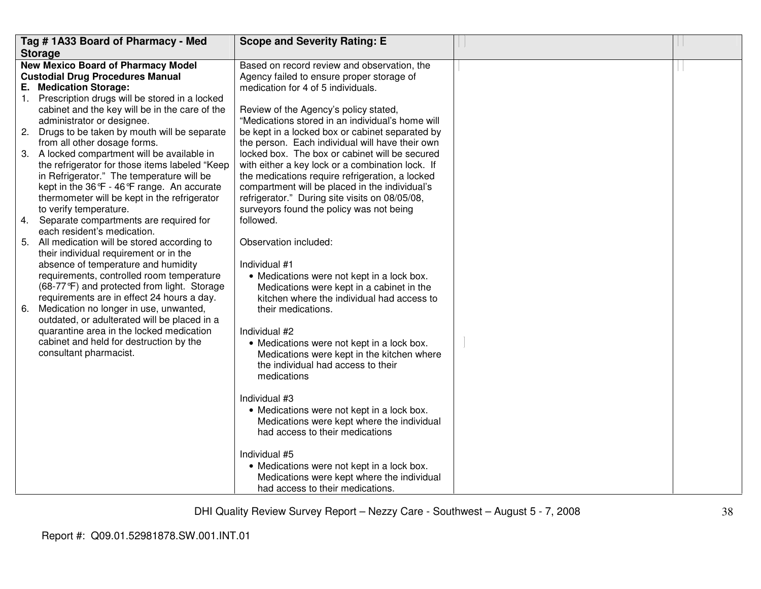|    | Tag #1A33 Board of Pharmacy - Med                                                        | <b>Scope and Severity Rating: E</b>                                                     |  |
|----|------------------------------------------------------------------------------------------|-----------------------------------------------------------------------------------------|--|
|    | <b>Storage</b>                                                                           |                                                                                         |  |
|    | <b>New Mexico Board of Pharmacy Model</b>                                                | Based on record review and observation, the                                             |  |
|    | <b>Custodial Drug Procedures Manual</b>                                                  | Agency failed to ensure proper storage of                                               |  |
|    | E. Medication Storage:                                                                   | medication for 4 of 5 individuals.                                                      |  |
|    | 1. Prescription drugs will be stored in a locked                                         |                                                                                         |  |
|    | cabinet and the key will be in the care of the                                           | Review of the Agency's policy stated,                                                   |  |
|    | administrator or designee.                                                               | "Medications stored in an individual's home will                                        |  |
|    | 2. Drugs to be taken by mouth will be separate                                           | be kept in a locked box or cabinet separated by                                         |  |
|    | from all other dosage forms.                                                             | the person. Each individual will have their own                                         |  |
|    | 3. A locked compartment will be available in                                             | locked box. The box or cabinet will be secured                                          |  |
|    | the refrigerator for those items labeled "Keep                                           | with either a key lock or a combination lock. If                                        |  |
|    | in Refrigerator." The temperature will be                                                | the medications require refrigeration, a locked                                         |  |
|    | kept in the 36°F - 46°F range. An accurate                                               | compartment will be placed in the individual's                                          |  |
|    | thermometer will be kept in the refrigerator                                             | refrigerator." During site visits on 08/05/08,                                          |  |
|    | to verify temperature.                                                                   | surveyors found the policy was not being                                                |  |
|    | 4. Separate compartments are required for                                                | followed.                                                                               |  |
|    | each resident's medication.                                                              |                                                                                         |  |
|    | 5. All medication will be stored according to                                            | Observation included:                                                                   |  |
|    | their individual requirement or in the                                                   |                                                                                         |  |
|    | absence of temperature and humidity                                                      | Individual #1                                                                           |  |
|    | requirements, controlled room temperature<br>(68-77°F) and protected from light. Storage | • Medications were not kept in a lock box.                                              |  |
|    | requirements are in effect 24 hours a day.                                               | Medications were kept in a cabinet in the<br>kitchen where the individual had access to |  |
| 6. | Medication no longer in use, unwanted,                                                   | their medications.                                                                      |  |
|    | outdated, or adulterated will be placed in a                                             |                                                                                         |  |
|    | quarantine area in the locked medication                                                 | Individual #2                                                                           |  |
|    | cabinet and held for destruction by the                                                  | • Medications were not kept in a lock box.                                              |  |
|    | consultant pharmacist.                                                                   | Medications were kept in the kitchen where                                              |  |
|    |                                                                                          | the individual had access to their                                                      |  |
|    |                                                                                          | medications                                                                             |  |
|    |                                                                                          |                                                                                         |  |
|    |                                                                                          | Individual #3                                                                           |  |
|    |                                                                                          | • Medications were not kept in a lock box.                                              |  |
|    |                                                                                          | Medications were kept where the individual                                              |  |
|    |                                                                                          | had access to their medications                                                         |  |
|    |                                                                                          |                                                                                         |  |
|    |                                                                                          | Individual #5                                                                           |  |
|    |                                                                                          | • Medications were not kept in a lock box.                                              |  |
|    |                                                                                          | Medications were kept where the individual                                              |  |
|    |                                                                                          | had access to their medications.                                                        |  |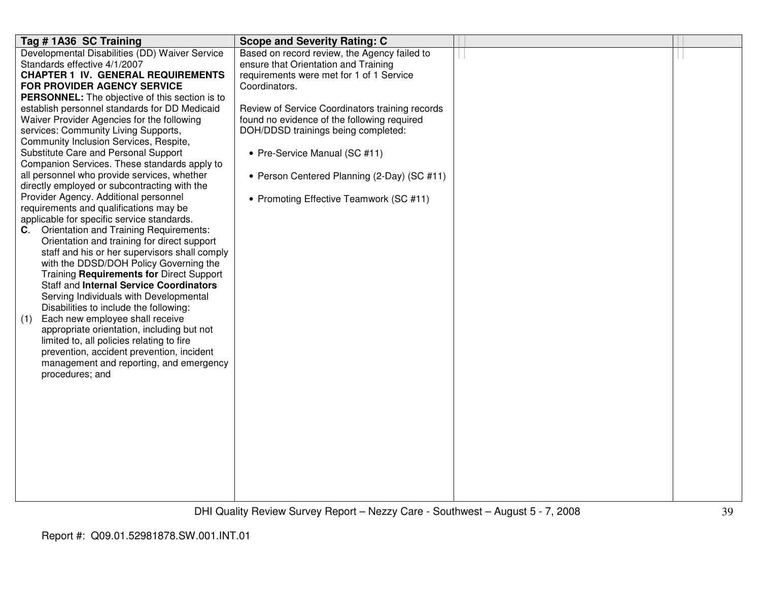| Tag #1A36 SC Training                                 | <b>Scope and Severity Rating: C</b>             |  |
|-------------------------------------------------------|-------------------------------------------------|--|
| Developmental Disabilities (DD) Waiver Service        | Based on record review, the Agency failed to    |  |
| Standards effective 4/1/2007                          | ensure that Orientation and Training            |  |
| <b>CHAPTER 1 IV. GENERAL REQUIREMENTS</b>             | requirements were met for 1 of 1 Service        |  |
| FOR PROVIDER AGENCY SERVICE                           | Coordinators.                                   |  |
| <b>PERSONNEL:</b> The objective of this section is to |                                                 |  |
| establish personnel standards for DD Medicaid         | Review of Service Coordinators training records |  |
| Waiver Provider Agencies for the following            | found no evidence of the following required     |  |
| services: Community Living Supports,                  | DOH/DDSD trainings being completed:             |  |
| Community Inclusion Services, Respite,                |                                                 |  |
| Substitute Care and Personal Support                  | • Pre-Service Manual (SC #11)                   |  |
| Companion Services. These standards apply to          |                                                 |  |
| all personnel who provide services, whether           | • Person Centered Planning (2-Day) (SC #11)     |  |
| directly employed or subcontracting with the          |                                                 |  |
| Provider Agency. Additional personnel                 | • Promoting Effective Teamwork (SC #11)         |  |
| requirements and qualifications may be                |                                                 |  |
| applicable for specific service standards.            |                                                 |  |
| <b>Orientation and Training Requirements:</b><br>C.   |                                                 |  |
| Orientation and training for direct support           |                                                 |  |
| staff and his or her supervisors shall comply         |                                                 |  |
| with the DDSD/DOH Policy Governing the                |                                                 |  |
| Training Requirements for Direct Support              |                                                 |  |
| <b>Staff and Internal Service Coordinators</b>        |                                                 |  |
| Serving Individuals with Developmental                |                                                 |  |
| Disabilities to include the following:                |                                                 |  |
| Each new employee shall receive<br>(1)                |                                                 |  |
| appropriate orientation, including but not            |                                                 |  |
| limited to, all policies relating to fire             |                                                 |  |
| prevention, accident prevention, incident             |                                                 |  |
| management and reporting, and emergency               |                                                 |  |
| procedures; and                                       |                                                 |  |
|                                                       |                                                 |  |
|                                                       |                                                 |  |
|                                                       |                                                 |  |
|                                                       |                                                 |  |
|                                                       |                                                 |  |
|                                                       |                                                 |  |
|                                                       |                                                 |  |
|                                                       |                                                 |  |
|                                                       |                                                 |  |
|                                                       |                                                 |  |
|                                                       |                                                 |  |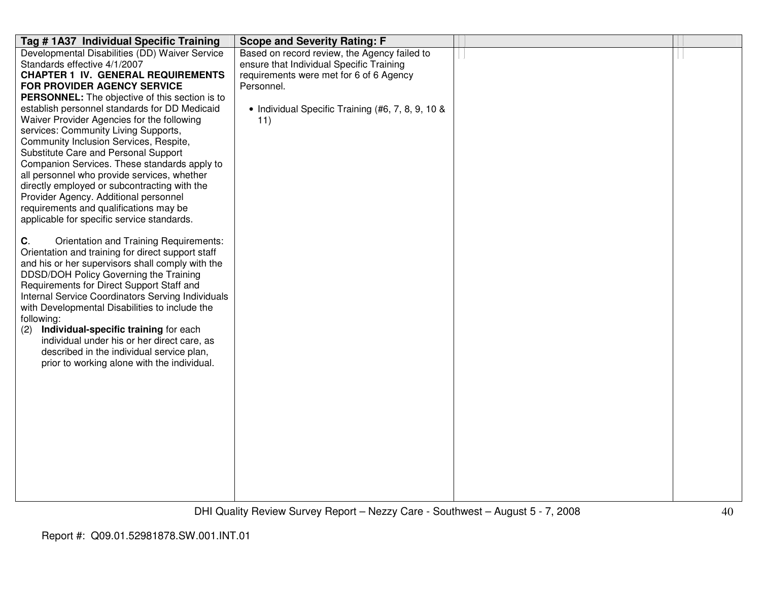| Tag # 1A37 Individual Specific Training                                                           | <b>Scope and Severity Rating: F</b>               |  |
|---------------------------------------------------------------------------------------------------|---------------------------------------------------|--|
| Developmental Disabilities (DD) Waiver Service                                                    | Based on record review, the Agency failed to      |  |
| Standards effective 4/1/2007                                                                      | ensure that Individual Specific Training          |  |
| <b>CHAPTER 1 IV. GENERAL REQUIREMENTS</b>                                                         | requirements were met for 6 of 6 Agency           |  |
| FOR PROVIDER AGENCY SERVICE                                                                       | Personnel.                                        |  |
| <b>PERSONNEL:</b> The objective of this section is to                                             |                                                   |  |
| establish personnel standards for DD Medicaid                                                     | • Individual Specific Training (#6, 7, 8, 9, 10 & |  |
| Waiver Provider Agencies for the following                                                        | 11)                                               |  |
| services: Community Living Supports,                                                              |                                                   |  |
| Community Inclusion Services, Respite,                                                            |                                                   |  |
| Substitute Care and Personal Support                                                              |                                                   |  |
| Companion Services. These standards apply to                                                      |                                                   |  |
| all personnel who provide services, whether                                                       |                                                   |  |
| directly employed or subcontracting with the                                                      |                                                   |  |
| Provider Agency. Additional personnel                                                             |                                                   |  |
| requirements and qualifications may be                                                            |                                                   |  |
| applicable for specific service standards.                                                        |                                                   |  |
|                                                                                                   |                                                   |  |
| C.<br>Orientation and Training Requirements:<br>Orientation and training for direct support staff |                                                   |  |
| and his or her supervisors shall comply with the                                                  |                                                   |  |
| DDSD/DOH Policy Governing the Training                                                            |                                                   |  |
| Requirements for Direct Support Staff and                                                         |                                                   |  |
| Internal Service Coordinators Serving Individuals                                                 |                                                   |  |
| with Developmental Disabilities to include the                                                    |                                                   |  |
| following:                                                                                        |                                                   |  |
| Individual-specific training for each<br>(2)                                                      |                                                   |  |
| individual under his or her direct care, as                                                       |                                                   |  |
| described in the individual service plan,                                                         |                                                   |  |
| prior to working alone with the individual.                                                       |                                                   |  |
|                                                                                                   |                                                   |  |
|                                                                                                   |                                                   |  |
|                                                                                                   |                                                   |  |
|                                                                                                   |                                                   |  |
|                                                                                                   |                                                   |  |
|                                                                                                   |                                                   |  |
|                                                                                                   |                                                   |  |
|                                                                                                   |                                                   |  |
|                                                                                                   |                                                   |  |
|                                                                                                   |                                                   |  |
|                                                                                                   |                                                   |  |
|                                                                                                   |                                                   |  |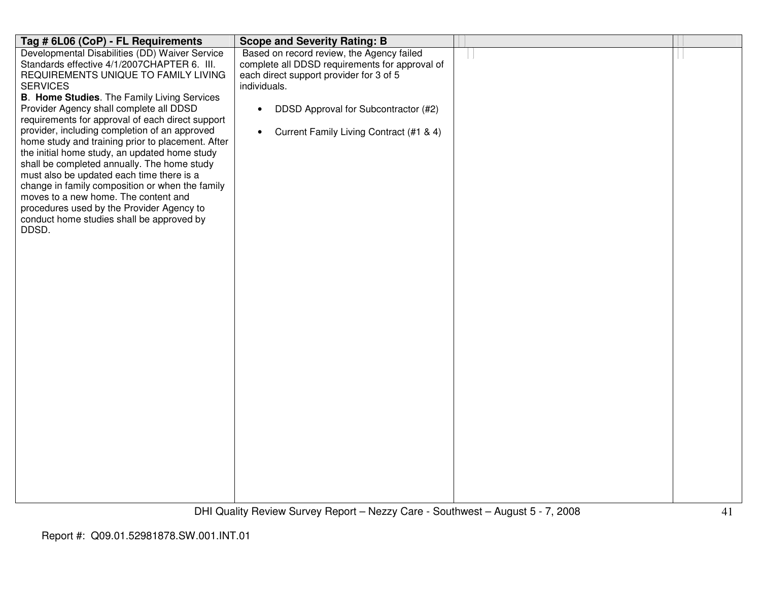| Tag # 6L06 (CoP) - FL Requirements                                                     | <b>Scope and Severity Rating: B</b>                  |  |
|----------------------------------------------------------------------------------------|------------------------------------------------------|--|
| Developmental Disabilities (DD) Waiver Service                                         | Based on record review, the Agency failed            |  |
| Standards effective 4/1/2007CHAPTER 6. III.                                            | complete all DDSD requirements for approval of       |  |
| REQUIREMENTS UNIQUE TO FAMILY LIVING                                                   | each direct support provider for 3 of 5              |  |
| <b>SERVICES</b><br><b>B. Home Studies.</b> The Family Living Services                  | individuals.                                         |  |
| Provider Agency shall complete all DDSD                                                | DDSD Approval for Subcontractor (#2)<br>$\bullet$    |  |
| requirements for approval of each direct support                                       |                                                      |  |
| provider, including completion of an approved                                          | Current Family Living Contract (#1 & 4)<br>$\bullet$ |  |
| home study and training prior to placement. After                                      |                                                      |  |
| the initial home study, an updated home study                                          |                                                      |  |
| shall be completed annually. The home study                                            |                                                      |  |
| must also be updated each time there is a                                              |                                                      |  |
| change in family composition or when the family                                        |                                                      |  |
| moves to a new home. The content and                                                   |                                                      |  |
| procedures used by the Provider Agency to<br>conduct home studies shall be approved by |                                                      |  |
| DDSD.                                                                                  |                                                      |  |
|                                                                                        |                                                      |  |
|                                                                                        |                                                      |  |
|                                                                                        |                                                      |  |
|                                                                                        |                                                      |  |
|                                                                                        |                                                      |  |
|                                                                                        |                                                      |  |
|                                                                                        |                                                      |  |
|                                                                                        |                                                      |  |
|                                                                                        |                                                      |  |
|                                                                                        |                                                      |  |
|                                                                                        |                                                      |  |
|                                                                                        |                                                      |  |
|                                                                                        |                                                      |  |
|                                                                                        |                                                      |  |
|                                                                                        |                                                      |  |
|                                                                                        |                                                      |  |
|                                                                                        |                                                      |  |
|                                                                                        |                                                      |  |
|                                                                                        |                                                      |  |
|                                                                                        |                                                      |  |
|                                                                                        |                                                      |  |
|                                                                                        |                                                      |  |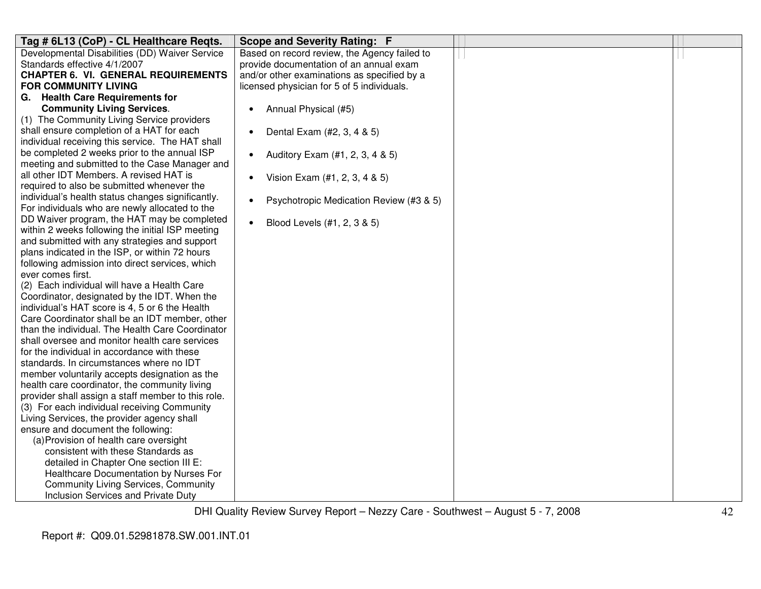| Tag # 6L13 (CoP) - CL Healthcare Reqts.            | <b>Scope and Severity Rating: F</b>                  |  |
|----------------------------------------------------|------------------------------------------------------|--|
| Developmental Disabilities (DD) Waiver Service     | Based on record review, the Agency failed to         |  |
| Standards effective 4/1/2007                       | provide documentation of an annual exam              |  |
| <b>CHAPTER 6. VI. GENERAL REQUIREMENTS</b>         | and/or other examinations as specified by a          |  |
| <b>FOR COMMUNITY LIVING</b>                        | licensed physician for 5 of 5 individuals.           |  |
| G. Health Care Requirements for                    |                                                      |  |
| <b>Community Living Services.</b>                  | Annual Physical (#5)<br>$\bullet$                    |  |
| (1) The Community Living Service providers         |                                                      |  |
| shall ensure completion of a HAT for each          | Dental Exam (#2, 3, 4 & 5)<br>$\bullet$              |  |
| individual receiving this service. The HAT shall   |                                                      |  |
| be completed 2 weeks prior to the annual ISP       | Auditory Exam (#1, 2, 3, 4 & 5)<br>$\bullet$         |  |
| meeting and submitted to the Case Manager and      |                                                      |  |
| all other IDT Members. A revised HAT is            | Vision Exam (#1, 2, 3, 4 & 5)<br>$\bullet$           |  |
| required to also be submitted whenever the         |                                                      |  |
| individual's health status changes significantly.  | Psychotropic Medication Review (#3 & 5)<br>$\bullet$ |  |
| For individuals who are newly allocated to the     |                                                      |  |
| DD Waiver program, the HAT may be completed        | Blood Levels (#1, 2, 3 & 5)<br>$\bullet$             |  |
| within 2 weeks following the initial ISP meeting   |                                                      |  |
| and submitted with any strategies and support      |                                                      |  |
| plans indicated in the ISP, or within 72 hours     |                                                      |  |
| following admission into direct services, which    |                                                      |  |
| ever comes first.                                  |                                                      |  |
| (2) Each individual will have a Health Care        |                                                      |  |
| Coordinator, designated by the IDT. When the       |                                                      |  |
| individual's HAT score is 4, 5 or 6 the Health     |                                                      |  |
| Care Coordinator shall be an IDT member, other     |                                                      |  |
| than the individual. The Health Care Coordinator   |                                                      |  |
| shall oversee and monitor health care services     |                                                      |  |
| for the individual in accordance with these        |                                                      |  |
| standards. In circumstances where no IDT           |                                                      |  |
| member voluntarily accepts designation as the      |                                                      |  |
| health care coordinator, the community living      |                                                      |  |
| provider shall assign a staff member to this role. |                                                      |  |
| (3) For each individual receiving Community        |                                                      |  |
| Living Services, the provider agency shall         |                                                      |  |
| ensure and document the following:                 |                                                      |  |
| (a) Provision of health care oversight             |                                                      |  |
| consistent with these Standards as                 |                                                      |  |
| detailed in Chapter One section III E:             |                                                      |  |
| Healthcare Documentation by Nurses For             |                                                      |  |
| <b>Community Living Services, Community</b>        |                                                      |  |
| Inclusion Services and Private Duty                |                                                      |  |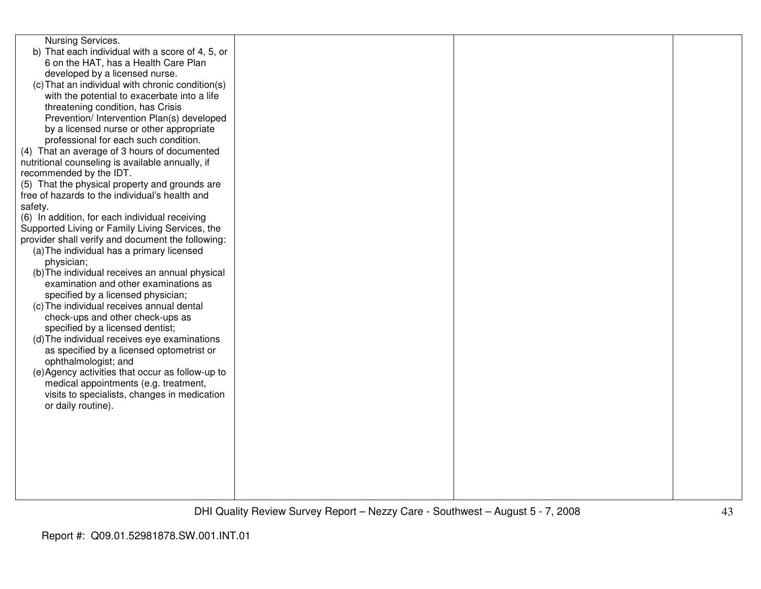| Nursing Services.<br>b) That each individual with a score of 4, 5, or<br>6 on the HAT, has a Health Care Plan<br>developed by a licensed nurse.<br>(c) That an individual with chronic condition(s)<br>with the potential to exacerbate into a life<br>threatening condition, has Crisis<br>Prevention/ Intervention Plan(s) developed<br>by a licensed nurse or other appropriate<br>professional for each such condition.<br>(4) That an average of 3 hours of documented<br>nutritional counseling is available annually, if<br>recommended by the IDT.<br>(5) That the physical property and grounds are<br>free of hazards to the individual's health and<br>safety.<br>(6) In addition, for each individual receiving<br>Supported Living or Family Living Services, the<br>provider shall verify and document the following:<br>(a) The individual has a primary licensed<br>physician;<br>(b) The individual receives an annual physical<br>examination and other examinations as<br>specified by a licensed physician;<br>(c) The individual receives annual dental<br>check-ups and other check-ups as<br>specified by a licensed dentist;<br>(d) The individual receives eye examinations<br>as specified by a licensed optometrist or<br>ophthalmologist; and<br>(e) Agency activities that occur as follow-up to<br>medical appointments (e.g. treatment,<br>visits to specialists, changes in medication<br>or daily routine). |  |  |
|----------------------------------------------------------------------------------------------------------------------------------------------------------------------------------------------------------------------------------------------------------------------------------------------------------------------------------------------------------------------------------------------------------------------------------------------------------------------------------------------------------------------------------------------------------------------------------------------------------------------------------------------------------------------------------------------------------------------------------------------------------------------------------------------------------------------------------------------------------------------------------------------------------------------------------------------------------------------------------------------------------------------------------------------------------------------------------------------------------------------------------------------------------------------------------------------------------------------------------------------------------------------------------------------------------------------------------------------------------------------------------------------------------------------------------------------|--|--|
|                                                                                                                                                                                                                                                                                                                                                                                                                                                                                                                                                                                                                                                                                                                                                                                                                                                                                                                                                                                                                                                                                                                                                                                                                                                                                                                                                                                                                                              |  |  |
|                                                                                                                                                                                                                                                                                                                                                                                                                                                                                                                                                                                                                                                                                                                                                                                                                                                                                                                                                                                                                                                                                                                                                                                                                                                                                                                                                                                                                                              |  |  |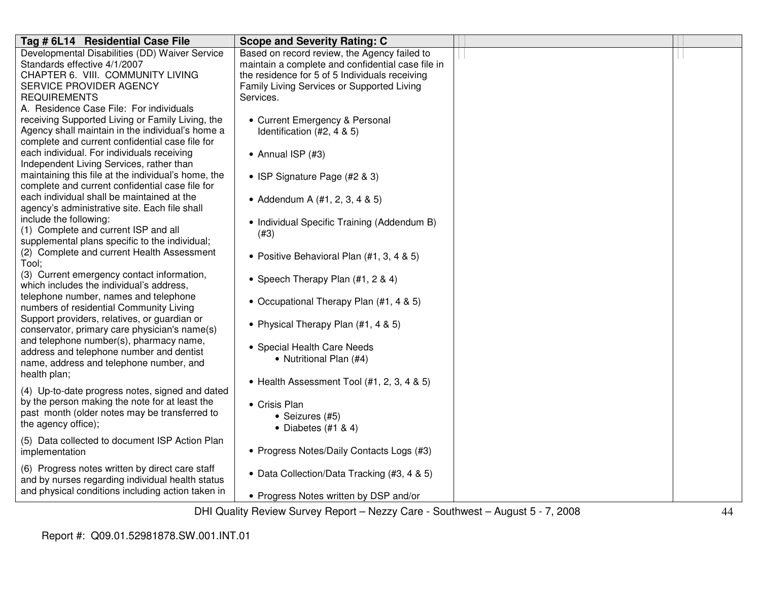| Tag # 6L14 Residential Case File                                                       | <b>Scope and Severity Rating: C</b>                                                                                                                                                                                                                       |  |
|----------------------------------------------------------------------------------------|-----------------------------------------------------------------------------------------------------------------------------------------------------------------------------------------------------------------------------------------------------------|--|
| Developmental Disabilities (DD) Waiver Service                                         | Based on record review, the Agency failed to                                                                                                                                                                                                              |  |
| Standards effective 4/1/2007                                                           | maintain a complete and confidential case file in                                                                                                                                                                                                         |  |
| CHAPTER 6. VIII. COMMUNITY LIVING                                                      | the residence for 5 of 5 Individuals receiving                                                                                                                                                                                                            |  |
| SERVICE PROVIDER AGENCY                                                                | Family Living Services or Supported Living                                                                                                                                                                                                                |  |
| <b>REQUIREMENTS</b>                                                                    | Services.                                                                                                                                                                                                                                                 |  |
| A. Residence Case File: For individuals                                                |                                                                                                                                                                                                                                                           |  |
| receiving Supported Living or Family Living, the                                       | • Current Emergency & Personal                                                                                                                                                                                                                            |  |
| Agency shall maintain in the individual's home a                                       | Identification (#2, 4 & 5)                                                                                                                                                                                                                                |  |
| complete and current confidential case file for                                        |                                                                                                                                                                                                                                                           |  |
| each individual. For individuals receiving                                             | • Annual ISP $(#3)$                                                                                                                                                                                                                                       |  |
| Independent Living Services, rather than                                               |                                                                                                                                                                                                                                                           |  |
| maintaining this file at the individual's home, the                                    | • ISP Signature Page (#2 & 3)                                                                                                                                                                                                                             |  |
| complete and current confidential case file for                                        |                                                                                                                                                                                                                                                           |  |
| each individual shall be maintained at the                                             | • Addendum A $(#1, 2, 3, 4 \& 5)$                                                                                                                                                                                                                         |  |
| agency's administrative site. Each file shall                                          |                                                                                                                                                                                                                                                           |  |
| include the following:                                                                 | • Individual Specific Training (Addendum B)                                                                                                                                                                                                               |  |
| (1) Complete and current ISP and all                                                   | (#3)                                                                                                                                                                                                                                                      |  |
| supplemental plans specific to the individual;                                         |                                                                                                                                                                                                                                                           |  |
| (2) Complete and current Health Assessment                                             | • Positive Behavioral Plan (#1, 3, 4 & 5)                                                                                                                                                                                                                 |  |
| Tool:                                                                                  |                                                                                                                                                                                                                                                           |  |
| (3) Current emergency contact information,<br>which includes the individual's address, | • Speech Therapy Plan (#1, 2 & 4)                                                                                                                                                                                                                         |  |
| telephone number, names and telephone                                                  |                                                                                                                                                                                                                                                           |  |
| numbers of residential Community Living                                                | • Occupational Therapy Plan (#1, 4 & 5)                                                                                                                                                                                                                   |  |
| Support providers, relatives, or guardian or                                           |                                                                                                                                                                                                                                                           |  |
| conservator, primary care physician's name(s)                                          | • Physical Therapy Plan (#1, 4 & 5)                                                                                                                                                                                                                       |  |
| and telephone number(s), pharmacy name,                                                |                                                                                                                                                                                                                                                           |  |
| address and telephone number and dentist                                               | • Special Health Care Needs                                                                                                                                                                                                                               |  |
| name, address and telephone number, and                                                | • Nutritional Plan (#4)                                                                                                                                                                                                                                   |  |
| health plan;                                                                           |                                                                                                                                                                                                                                                           |  |
|                                                                                        | • Health Assessment Tool (#1, 2, 3, 4 & 5)                                                                                                                                                                                                                |  |
| (4) Up-to-date progress notes, signed and dated                                        |                                                                                                                                                                                                                                                           |  |
| by the person making the note for at least the                                         | • Crisis Plan                                                                                                                                                                                                                                             |  |
| past month (older notes may be transferred to                                          | • Seizures (#5)                                                                                                                                                                                                                                           |  |
| the agency office);                                                                    | • Diabetes $(#1 & 4)$                                                                                                                                                                                                                                     |  |
| (5) Data collected to document ISP Action Plan                                         |                                                                                                                                                                                                                                                           |  |
| implementation                                                                         | • Progress Notes/Daily Contacts Logs (#3)                                                                                                                                                                                                                 |  |
|                                                                                        |                                                                                                                                                                                                                                                           |  |
| (6) Progress notes written by direct care staff                                        | • Data Collection/Data Tracking (#3, 4 & 5)                                                                                                                                                                                                               |  |
| and by nurses regarding individual health status                                       |                                                                                                                                                                                                                                                           |  |
| and physical conditions including action taken in                                      | • Progress Notes written by DSP and/or                                                                                                                                                                                                                    |  |
|                                                                                        | $DIII$ $Q_{11}$ $B_{11}$ $B_{21}$ $B_{21}$ $B_{21}$ $B_{21}$ $B_{21}$ $B_{21}$ $B_{21}$ $B_{21}$ $B_{21}$ $B_{21}$ $B_{21}$ $B_{21}$ $B_{21}$ $B_{21}$ $B_{21}$ $B_{21}$ $B_{21}$ $B_{21}$ $B_{21}$ $B_{21}$ $B_{21}$ $B_{21}$ $B_{21}$ $B_{21}$ $B_{21}$ |  |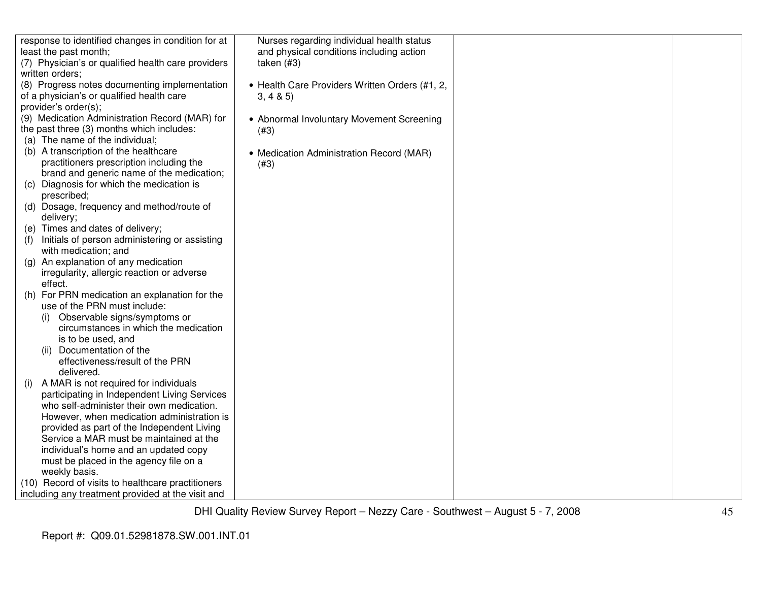| response to identified changes in condition for at   | Nurses regarding individual health status      |  |
|------------------------------------------------------|------------------------------------------------|--|
| least the past month;                                | and physical conditions including action       |  |
| (7) Physician's or qualified health care providers   | taken $(#3)$                                   |  |
| written orders;                                      |                                                |  |
| (8) Progress notes documenting implementation        | • Health Care Providers Written Orders (#1, 2, |  |
| of a physician's or qualified health care            | 3, 4 & 5)                                      |  |
| provider's order(s);                                 |                                                |  |
| (9) Medication Administration Record (MAR) for       | • Abnormal Involuntary Movement Screening      |  |
| the past three (3) months which includes:            | (#3)                                           |  |
| (a) The name of the individual;                      |                                                |  |
| (b) A transcription of the healthcare                | • Medication Administration Record (MAR)       |  |
| practitioners prescription including the             | (#3)                                           |  |
| brand and generic name of the medication;            |                                                |  |
| (c) Diagnosis for which the medication is            |                                                |  |
| prescribed;                                          |                                                |  |
| (d) Dosage, frequency and method/route of            |                                                |  |
| delivery;                                            |                                                |  |
| (e) Times and dates of delivery;                     |                                                |  |
| Initials of person administering or assisting<br>(1) |                                                |  |
| with medication; and                                 |                                                |  |
| An explanation of any medication<br>(g)              |                                                |  |
| irregularity, allergic reaction or adverse           |                                                |  |
| effect.                                              |                                                |  |
| For PRN medication an explanation for the<br>(h)     |                                                |  |
| use of the PRN must include:                         |                                                |  |
| Observable signs/symptoms or                         |                                                |  |
| circumstances in which the medication                |                                                |  |
| is to be used, and                                   |                                                |  |
| (ii) Documentation of the                            |                                                |  |
| effectiveness/result of the PRN                      |                                                |  |
| delivered.                                           |                                                |  |
| A MAR is not required for individuals<br>(1)         |                                                |  |
| participating in Independent Living Services         |                                                |  |
| who self-administer their own medication.            |                                                |  |
| However, when medication administration is           |                                                |  |
| provided as part of the Independent Living           |                                                |  |
| Service a MAR must be maintained at the              |                                                |  |
| individual's home and an updated copy                |                                                |  |
| must be placed in the agency file on a               |                                                |  |
| weekly basis.                                        |                                                |  |
| (10) Record of visits to healthcare practitioners    |                                                |  |
| including any treatment provided at the visit and    |                                                |  |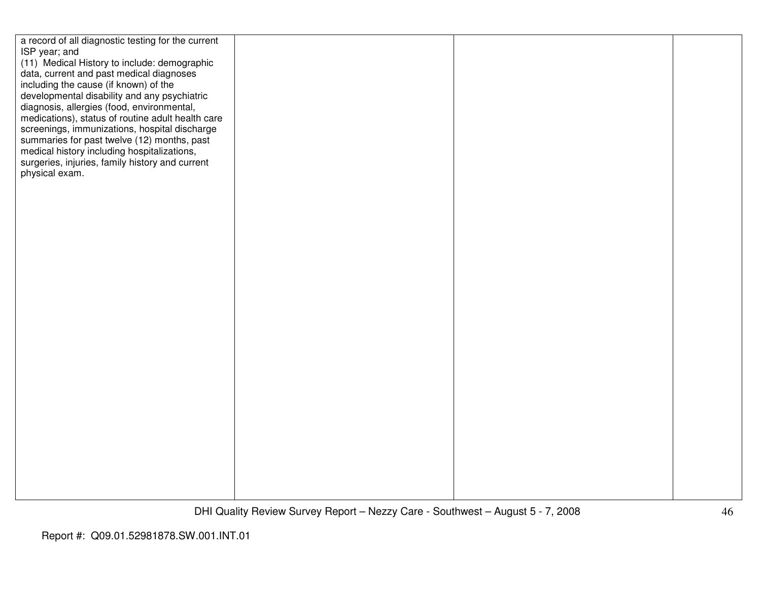| a record of all diagnostic testing for the current |  |  |
|----------------------------------------------------|--|--|
| ISP year; and                                      |  |  |
| (11) Medical History to include: demographic       |  |  |
|                                                    |  |  |
| data, current and past medical diagnoses           |  |  |
| including the cause (if known) of the              |  |  |
| developmental disability and any psychiatric       |  |  |
| diagnosis, allergies (food, environmental,         |  |  |
|                                                    |  |  |
| medications), status of routine adult health care  |  |  |
| screenings, immunizations, hospital discharge      |  |  |
| summaries for past twelve (12) months, past        |  |  |
|                                                    |  |  |
| medical history including hospitalizations,        |  |  |
| surgeries, injuries, family history and current    |  |  |
| physical exam.                                     |  |  |
|                                                    |  |  |
|                                                    |  |  |
|                                                    |  |  |
|                                                    |  |  |
|                                                    |  |  |
|                                                    |  |  |
|                                                    |  |  |
|                                                    |  |  |
|                                                    |  |  |
|                                                    |  |  |
|                                                    |  |  |
|                                                    |  |  |
|                                                    |  |  |
|                                                    |  |  |
|                                                    |  |  |
|                                                    |  |  |
|                                                    |  |  |
|                                                    |  |  |
|                                                    |  |  |
|                                                    |  |  |
|                                                    |  |  |
|                                                    |  |  |
|                                                    |  |  |
|                                                    |  |  |
|                                                    |  |  |
|                                                    |  |  |
|                                                    |  |  |
|                                                    |  |  |
|                                                    |  |  |
|                                                    |  |  |
|                                                    |  |  |
|                                                    |  |  |
|                                                    |  |  |
|                                                    |  |  |
|                                                    |  |  |
|                                                    |  |  |
|                                                    |  |  |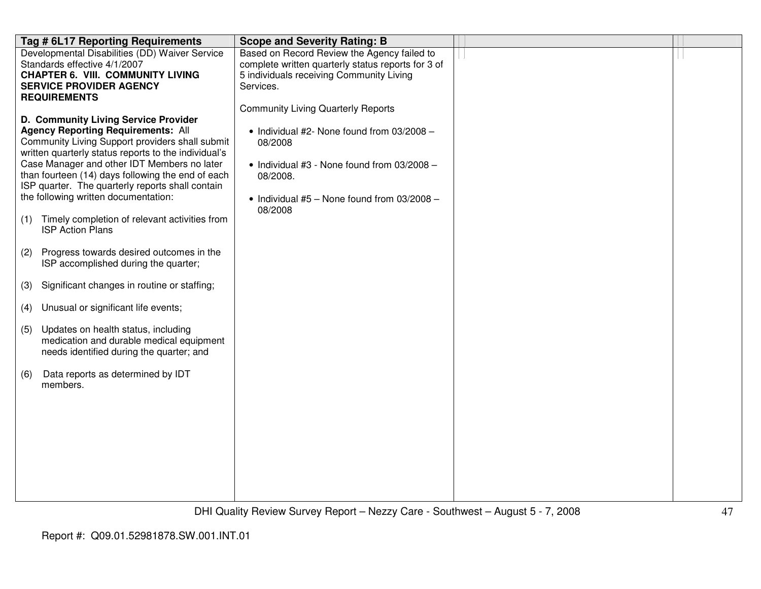|     | Tag # 6L17 Reporting Requirements                                                                                                                                                                                                                                                                                                                                                                                                                                        | <b>Scope and Severity Rating: B</b>                                                                                                                                                                                           |  |
|-----|--------------------------------------------------------------------------------------------------------------------------------------------------------------------------------------------------------------------------------------------------------------------------------------------------------------------------------------------------------------------------------------------------------------------------------------------------------------------------|-------------------------------------------------------------------------------------------------------------------------------------------------------------------------------------------------------------------------------|--|
|     | Developmental Disabilities (DD) Waiver Service<br>Standards effective 4/1/2007<br><b>CHAPTER 6. VIII. COMMUNITY LIVING</b><br><b>SERVICE PROVIDER AGENCY</b><br><b>REQUIREMENTS</b>                                                                                                                                                                                                                                                                                      | Based on Record Review the Agency failed to<br>complete written quarterly status reports for 3 of<br>5 individuals receiving Community Living<br>Services.                                                                    |  |
| (1) | D. Community Living Service Provider<br><b>Agency Reporting Requirements: All</b><br>Community Living Support providers shall submit<br>written quarterly status reports to the individual's<br>Case Manager and other IDT Members no later<br>than fourteen (14) days following the end of each<br>ISP quarter. The quarterly reports shall contain<br>the following written documentation:<br>Timely completion of relevant activities from<br><b>ISP Action Plans</b> | <b>Community Living Quarterly Reports</b><br>• Individual #2- None found from 03/2008 -<br>08/2008<br>• Individual #3 - None found from $03/2008$ -<br>08/2008.<br>• Individual $#5 -$ None found from 03/2008 $-$<br>08/2008 |  |
| (2) | Progress towards desired outcomes in the<br>ISP accomplished during the quarter;                                                                                                                                                                                                                                                                                                                                                                                         |                                                                                                                                                                                                                               |  |
| (3) | Significant changes in routine or staffing;                                                                                                                                                                                                                                                                                                                                                                                                                              |                                                                                                                                                                                                                               |  |
| (4) | Unusual or significant life events;                                                                                                                                                                                                                                                                                                                                                                                                                                      |                                                                                                                                                                                                                               |  |
| (5) | Updates on health status, including<br>medication and durable medical equipment<br>needs identified during the quarter; and                                                                                                                                                                                                                                                                                                                                              |                                                                                                                                                                                                                               |  |
| (6) | Data reports as determined by IDT<br>members.                                                                                                                                                                                                                                                                                                                                                                                                                            |                                                                                                                                                                                                                               |  |
|     |                                                                                                                                                                                                                                                                                                                                                                                                                                                                          |                                                                                                                                                                                                                               |  |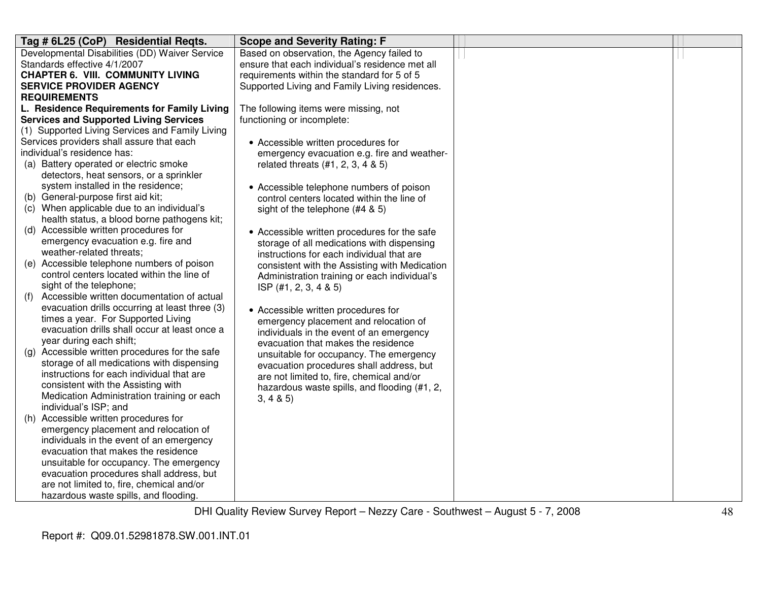| Tag # 6L25 (CoP) Residential Regts.                                               | <b>Scope and Severity Rating: F</b>             |  |
|-----------------------------------------------------------------------------------|-------------------------------------------------|--|
| Developmental Disabilities (DD) Waiver Service                                    | Based on observation, the Agency failed to      |  |
| Standards effective 4/1/2007                                                      | ensure that each individual's residence met all |  |
| <b>CHAPTER 6. VIII. COMMUNITY LIVING</b>                                          | requirements within the standard for 5 of 5     |  |
| <b>SERVICE PROVIDER AGENCY</b>                                                    | Supported Living and Family Living residences.  |  |
| <b>REQUIREMENTS</b>                                                               |                                                 |  |
| L. Residence Requirements for Family Living                                       | The following items were missing, not           |  |
| <b>Services and Supported Living Services</b>                                     | functioning or incomplete:                      |  |
| (1) Supported Living Services and Family Living                                   |                                                 |  |
| Services providers shall assure that each                                         | • Accessible written procedures for             |  |
| individual's residence has:                                                       | emergency evacuation e.g. fire and weather-     |  |
| (a) Battery operated or electric smoke                                            | related threats (#1, 2, 3, 4 & 5)               |  |
| detectors, heat sensors, or a sprinkler                                           |                                                 |  |
| system installed in the residence;                                                | • Accessible telephone numbers of poison        |  |
| (b) General-purpose first aid kit;                                                | control centers located within the line of      |  |
| (c) When applicable due to an individual's                                        | sight of the telephone $(#4 \& 5)$              |  |
| health status, a blood borne pathogens kit;                                       |                                                 |  |
| (d) Accessible written procedures for                                             | • Accessible written procedures for the safe    |  |
| emergency evacuation e.g. fire and                                                | storage of all medications with dispensing      |  |
| weather-related threats;                                                          | instructions for each individual that are       |  |
| (e) Accessible telephone numbers of poison                                        | consistent with the Assisting with Medication   |  |
| control centers located within the line of                                        | Administration training or each individual's    |  |
| sight of the telephone;                                                           | ISP $(\#1, 2, 3, 4 \& 5)$                       |  |
| Accessible written documentation of actual<br>(f)                                 |                                                 |  |
| evacuation drills occurring at least three (3)                                    | • Accessible written procedures for             |  |
| times a year. For Supported Living                                                | emergency placement and relocation of           |  |
| evacuation drills shall occur at least once a                                     | individuals in the event of an emergency        |  |
| year during each shift;                                                           | evacuation that makes the residence             |  |
| Accessible written procedures for the safe<br>(g)                                 | unsuitable for occupancy. The emergency         |  |
| storage of all medications with dispensing                                        | evacuation procedures shall address, but        |  |
| instructions for each individual that are                                         | are not limited to, fire, chemical and/or       |  |
| consistent with the Assisting with                                                | hazardous waste spills, and flooding (#1, 2,    |  |
| Medication Administration training or each                                        | 3, 4 & 5                                        |  |
| individual's ISP; and                                                             |                                                 |  |
| Accessible written procedures for<br>(h)                                          |                                                 |  |
| emergency placement and relocation of<br>individuals in the event of an emergency |                                                 |  |
| evacuation that makes the residence                                               |                                                 |  |
| unsuitable for occupancy. The emergency                                           |                                                 |  |
| evacuation procedures shall address, but                                          |                                                 |  |
|                                                                                   |                                                 |  |
| hazardous waste spills, and flooding.                                             |                                                 |  |
| are not limited to, fire, chemical and/or                                         |                                                 |  |